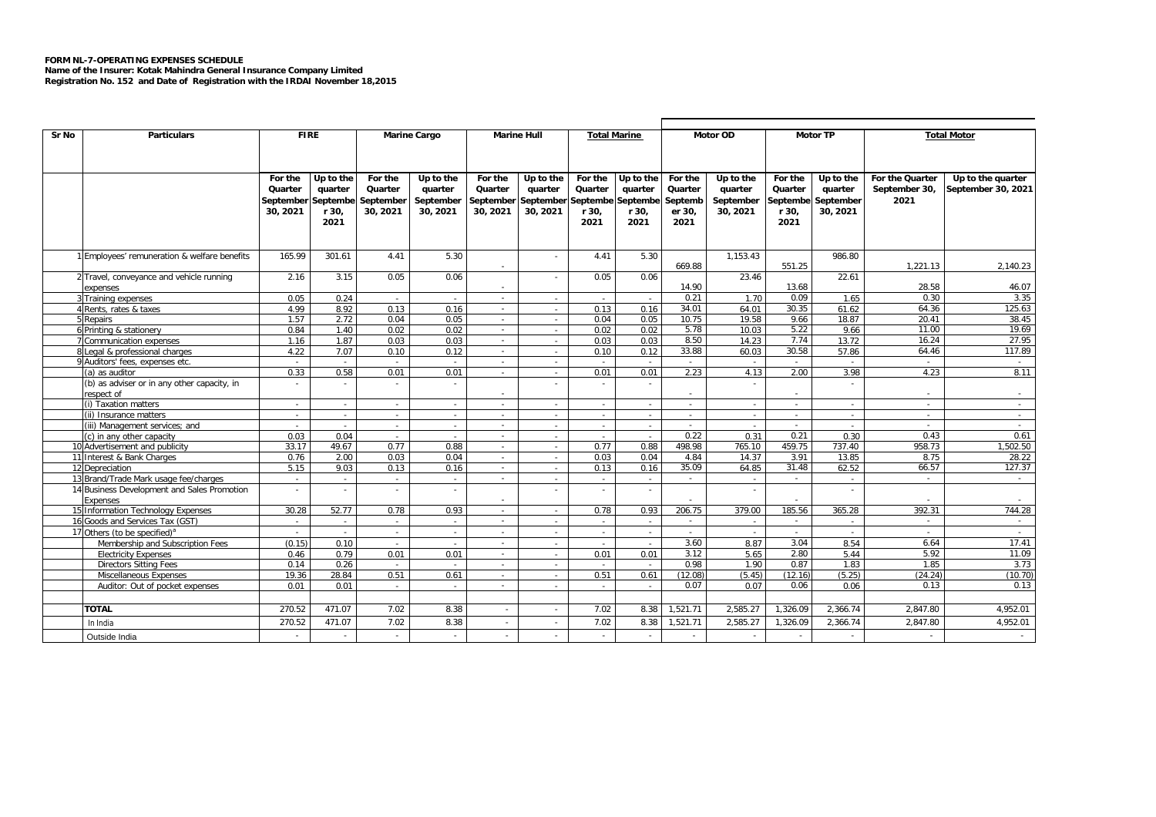## **FORM NL-7-OPERATING EXPENSES SCHEDULE**

**Name of the Insurer: Kotak Mahindra General Insurance Company Limited Registration No. 152 and Date of Registration with the IRDAI November 18,2015**

| Sr No<br><b>FIRE</b><br><b>Marine Hull</b><br>Motor OD<br><b>Motor TP</b><br><b>Particulars</b><br><b>Marine Cargo</b><br><b>Total Marine</b><br><b>Total Motor</b><br>For the<br>Up to the<br>For the<br>Up to the<br>For the<br>For the Quarter<br>Up to the quarter<br>For the<br>∪p to the<br>For the<br>Up to the<br>Up to the<br>For the<br>Up to the<br>Quarter<br>quarter<br>Quarter<br>quarter<br>Quarter<br>quarter<br>Quarter<br>quarter<br>Quarter<br>quarter<br>Quarter<br>quarter<br>September 30,<br>September<br>September<br>September September Septembe Septembe<br>Septemb<br>September<br>Septembe<br>September<br>2021<br>Septembe September<br>30, 2021<br>r 30,<br>30, 2021<br>30, 2021<br>30, 2021<br>30, 2021<br>r 30,<br>er 30,<br>30, 2021<br>r 30,<br>30, 2021<br>r 30,<br>2021<br>2021<br>2021<br>2021<br>2021<br>165.99<br>5.30<br>4.41<br>5.30<br>1,153.43<br>986.80<br>1 Employees' remuneration & welfare benefits<br>301.61<br>4.41<br>669.88<br>551.25<br>1.221.13<br>2.140.23<br>3.15<br>0.05<br>0.06<br>2 Travel, conveyance and vehicle running<br>0.05<br>23.46<br>22.61<br>2.16<br>0.06<br>28.58<br>46.07<br>14.90<br>13.68<br>expenses<br>0.30<br>0.05<br>0.24<br>0.21<br>1.70<br>0.09<br>1.65<br>3.35<br>3 Training expenses<br>$\sim$<br>$\sim$<br>$\sim$<br>$\sim$<br>$\sim$<br>0.13<br>4 Rents, rates & taxes<br>4.99<br>8.92<br>0.13<br>0.16<br>0.16<br>34.01<br>64.01<br>30.35<br>61.62<br>64.36<br>125.63<br>$\sim$<br>$\sim$<br>0.04<br>0.05<br>10.75<br>19.58<br>9.66<br>18.87<br>20.41<br>38.45<br>5 Repairs<br>1.57<br>2.72<br>0.04<br>0.05<br>$\sim$<br>$\sim$<br>19.69<br>6 Printing & stationery<br>0.02<br>0.02<br>5.78<br>10.03<br>5.22<br>11.00<br>0.84<br>1.40<br>0.02<br>0.02<br>9.66<br>×.<br>27.95<br>0.03<br>0.03<br>8.50<br>7.74<br>13.72<br>16.24<br>7 Communication expenses<br>1.87<br>0.03<br>0.03<br>14.23<br>1.16<br>$\sim$<br>$\sim$<br>33.88<br>30.58<br>117.89<br>8 Legal & professional charges<br>7.07<br>60.03<br>57.86<br>64.46<br>4.22<br>0.10<br>0.12<br>0.10<br>0.12<br>×.<br>$\sim$<br>9 Auditors' fees, expenses etc.<br>$\sim$<br>$\sim$<br>$\sim$<br>$\sim$<br>×.<br>÷<br>3.98<br>8.11<br>0.33<br>0.58<br>0.01<br>0.01<br>0.01<br>2.23<br>4.13<br>2.00<br>4.23<br>0.01<br>(a) as auditor<br>×.<br>$\sim$<br>(b) as adviser or in any other capacity, in<br>respect of<br>$\sim$<br>$\sim$<br>$\sim$<br>(i) Taxation matters<br>$\sim$<br>$\sim$<br>$\sim$<br>$\sim$<br>$\sim$<br>$\sim$<br>(ii) Insurance matters<br>$\sim$<br>$\sim$<br>$\sim$<br>$\sim$<br>$\sim$<br>(iii) Management services; and<br>$\sim$<br>$\sim$<br>×.<br>$\sim$<br>$\sim$<br>$\sim$<br>$\sim$<br>$\sim$<br>0.04<br>0.22<br>0.31<br>0.21<br>0.30<br>0.43<br>0.61<br>(c) in any other capacity<br>0.03<br>$\sim$<br>$\sim$<br>$\sim$<br>$\sim$<br>498.98<br>459.75<br>958.73<br>1.502.50<br>10 Advertisement and publicity<br>33.17<br>49.67<br>0.77<br>0.88<br>0.77<br>0.88<br>765.10<br>737.40<br>$\sim$<br>11 Interest & Bank Charges<br>0.03<br>3.91<br>28.22<br>0.76<br>2.00<br>0.03<br>0.04<br>0.04<br>4.84<br>14.37<br>13.85<br>8.75<br>$\sim$<br>$\sim$<br>35.09<br>66.57<br>127.37<br>5.15<br>9.03<br>0.16<br>0.13<br>31.48<br>62.52<br>12 Depreciation<br>0.13<br>0.16<br>64.85<br>$\sim$<br>$\sim$<br>13 Brand/Trade Mark usage fee/charges<br>$\sim$<br>$\sim$<br>$\sim$<br>×.<br>$\sim$<br>$\sim$<br>$\sim$<br>$\sim$<br>÷<br>$\sim$<br>$\sim$<br>$\sim$<br>14 Business Development and Sales Promotion<br>$\sim$<br>$\sim$<br>Expenses<br>$\sim$<br>185.56<br>392.31<br>744.28<br>15 Information Technology Expenses<br>30.28<br>52.77<br>0.93<br>0.78<br>0.93<br>206.75<br>379.00<br>365.28<br>0.78<br>$\sim$<br>$\sim$<br>16 Goods and Services Tax (GST)<br>$\sim$<br>×.<br>$\sim$<br>$\sim$<br>×.<br>$\sim$<br>×.<br>$\sim$<br>$\sim$<br>÷<br>$\sim$<br>$\sim$<br>$\sim$<br>17 Others (to be specified) <sup>a</sup><br>$\sim$<br>$\sim$<br>$\sim$<br>$\sim$<br>$\sim$<br>$\sim$<br>$\sim$<br>$\overline{a}$<br>$\sim$<br>$\sim$<br>$\sim$<br>3.60<br>3.04<br>17.41<br>Membership and Subscription Fees<br>(0.15)<br>0.10<br>8.87<br>8.54<br>6.64<br>$\sim$<br>$\sim$<br>$\sim$<br>$\sim$<br>$\sim$<br>$\sim$<br>0.01<br>0.01<br>0.01<br>3.12<br>2.80<br>5.92<br>11.09<br><b>Electricity Expenses</b><br>0.46<br>0.79<br>0.01<br>5.65<br>5.44<br>$\sim$<br>$\sim$<br>0.98<br>0.87<br>1.85<br>3.73<br><b>Directors Sitting Fees</b><br>0.14<br>0.26<br>1.90<br>1.83<br>$\sim$<br>$\sim$<br>$\sim$<br>$\sim$<br>$\sim$<br>$\sim$<br>0.51<br>(12.08)<br>(12.16)<br>(24.24)<br>(10.70)<br>Miscellaneous Expenses<br>19.36<br>28.84<br>0.51<br>0.61<br>0.61<br>(5.45)<br>(5.25)<br>$\sim$<br>$\sim$<br>Auditor: Out of pocket expenses<br>0.01<br>0.01<br>0.07<br>0.07<br>0.06<br>0.06<br>0.13<br>0.13<br>$\sim$<br>$\sim$<br>$\sim$<br>$\sim$<br>$\sim$<br>$\sim$<br>7.02<br><b>TOTAL</b><br>270.52<br>471.07<br>7.02<br>8.38<br>1,521.71<br>2,585.27<br>1,326.09<br>2,366.74<br>8.38<br>2,847.80<br>4,952.01<br>7.02<br>2,585.27<br>2,847.80<br>270.52<br>471.07<br>7.02<br>8.38<br>8.38<br>,521.71<br>1,326.09<br>2,366.74<br>4,952.01<br>In India<br>$\sim$ |               |  |  |  |  |  |  |  |  |  |  |  |  |  |  |  |  |
|-------------------------------------------------------------------------------------------------------------------------------------------------------------------------------------------------------------------------------------------------------------------------------------------------------------------------------------------------------------------------------------------------------------------------------------------------------------------------------------------------------------------------------------------------------------------------------------------------------------------------------------------------------------------------------------------------------------------------------------------------------------------------------------------------------------------------------------------------------------------------------------------------------------------------------------------------------------------------------------------------------------------------------------------------------------------------------------------------------------------------------------------------------------------------------------------------------------------------------------------------------------------------------------------------------------------------------------------------------------------------------------------------------------------------------------------------------------------------------------------------------------------------------------------------------------------------------------------------------------------------------------------------------------------------------------------------------------------------------------------------------------------------------------------------------------------------------------------------------------------------------------------------------------------------------------------------------------------------------------------------------------------------------------------------------------------------------------------------------------------------------------------------------------------------------------------------------------------------------------------------------------------------------------------------------------------------------------------------------------------------------------------------------------------------------------------------------------------------------------------------------------------------------------------------------------------------------------------------------------------------------------------------------------------------------------------------------------------------------------------------------------------------------------------------------------------------------------------------------------------------------------------------------------------------------------------------------------------------------------------------------------------------------------------------------------------------------------------------------------------------------------------------------------------------------------------------------------------------------------------------------------------------------------------------------------------------------------------------------------------------------------------------------------------------------------------------------------------------------------------------------------------------------------------------------------------------------------------------------------------------------------------------------------------------------------------------------------------------------------------------------------------------------------------------------------------------------------------------------------------------------------------------------------------------------------------------------------------------------------------------------------------------------------------------------------------------------------------------------------------------------------------------------------------------------------------------------------------------------------------------------------------------------------------------------------------------------------------------------------------------------------------------------------------------------------------------------------------------------------------------------------------------------------------------------------------------------------------------------------------------------------------------------------------------------------------------------------------------------------------------------------------------------------------------------------------------------------------------------------------------------------------------------------------------------------------------------------------------------------------------------------------------------------------------------------------------------------------------------------------------------------------|---------------|--|--|--|--|--|--|--|--|--|--|--|--|--|--|--|--|
|                                                                                                                                                                                                                                                                                                                                                                                                                                                                                                                                                                                                                                                                                                                                                                                                                                                                                                                                                                                                                                                                                                                                                                                                                                                                                                                                                                                                                                                                                                                                                                                                                                                                                                                                                                                                                                                                                                                                                                                                                                                                                                                                                                                                                                                                                                                                                                                                                                                                                                                                                                                                                                                                                                                                                                                                                                                                                                                                                                                                                                                                                                                                                                                                                                                                                                                                                                                                                                                                                                                                                                                                                                                                                                                                                                                                                                                                                                                                                                                                                                                                                                                                                                                                                                                                                                                                                                                                                                                                                                                                                                                                                                                                                                                                                                                                                                                                                                                                                                                                                                                                                                                                           |               |  |  |  |  |  |  |  |  |  |  |  |  |  |  |  |  |
| September 30, 2021                                                                                                                                                                                                                                                                                                                                                                                                                                                                                                                                                                                                                                                                                                                                                                                                                                                                                                                                                                                                                                                                                                                                                                                                                                                                                                                                                                                                                                                                                                                                                                                                                                                                                                                                                                                                                                                                                                                                                                                                                                                                                                                                                                                                                                                                                                                                                                                                                                                                                                                                                                                                                                                                                                                                                                                                                                                                                                                                                                                                                                                                                                                                                                                                                                                                                                                                                                                                                                                                                                                                                                                                                                                                                                                                                                                                                                                                                                                                                                                                                                                                                                                                                                                                                                                                                                                                                                                                                                                                                                                                                                                                                                                                                                                                                                                                                                                                                                                                                                                                                                                                                                                        |               |  |  |  |  |  |  |  |  |  |  |  |  |  |  |  |  |
|                                                                                                                                                                                                                                                                                                                                                                                                                                                                                                                                                                                                                                                                                                                                                                                                                                                                                                                                                                                                                                                                                                                                                                                                                                                                                                                                                                                                                                                                                                                                                                                                                                                                                                                                                                                                                                                                                                                                                                                                                                                                                                                                                                                                                                                                                                                                                                                                                                                                                                                                                                                                                                                                                                                                                                                                                                                                                                                                                                                                                                                                                                                                                                                                                                                                                                                                                                                                                                                                                                                                                                                                                                                                                                                                                                                                                                                                                                                                                                                                                                                                                                                                                                                                                                                                                                                                                                                                                                                                                                                                                                                                                                                                                                                                                                                                                                                                                                                                                                                                                                                                                                                                           |               |  |  |  |  |  |  |  |  |  |  |  |  |  |  |  |  |
|                                                                                                                                                                                                                                                                                                                                                                                                                                                                                                                                                                                                                                                                                                                                                                                                                                                                                                                                                                                                                                                                                                                                                                                                                                                                                                                                                                                                                                                                                                                                                                                                                                                                                                                                                                                                                                                                                                                                                                                                                                                                                                                                                                                                                                                                                                                                                                                                                                                                                                                                                                                                                                                                                                                                                                                                                                                                                                                                                                                                                                                                                                                                                                                                                                                                                                                                                                                                                                                                                                                                                                                                                                                                                                                                                                                                                                                                                                                                                                                                                                                                                                                                                                                                                                                                                                                                                                                                                                                                                                                                                                                                                                                                                                                                                                                                                                                                                                                                                                                                                                                                                                                                           |               |  |  |  |  |  |  |  |  |  |  |  |  |  |  |  |  |
|                                                                                                                                                                                                                                                                                                                                                                                                                                                                                                                                                                                                                                                                                                                                                                                                                                                                                                                                                                                                                                                                                                                                                                                                                                                                                                                                                                                                                                                                                                                                                                                                                                                                                                                                                                                                                                                                                                                                                                                                                                                                                                                                                                                                                                                                                                                                                                                                                                                                                                                                                                                                                                                                                                                                                                                                                                                                                                                                                                                                                                                                                                                                                                                                                                                                                                                                                                                                                                                                                                                                                                                                                                                                                                                                                                                                                                                                                                                                                                                                                                                                                                                                                                                                                                                                                                                                                                                                                                                                                                                                                                                                                                                                                                                                                                                                                                                                                                                                                                                                                                                                                                                                           |               |  |  |  |  |  |  |  |  |  |  |  |  |  |  |  |  |
|                                                                                                                                                                                                                                                                                                                                                                                                                                                                                                                                                                                                                                                                                                                                                                                                                                                                                                                                                                                                                                                                                                                                                                                                                                                                                                                                                                                                                                                                                                                                                                                                                                                                                                                                                                                                                                                                                                                                                                                                                                                                                                                                                                                                                                                                                                                                                                                                                                                                                                                                                                                                                                                                                                                                                                                                                                                                                                                                                                                                                                                                                                                                                                                                                                                                                                                                                                                                                                                                                                                                                                                                                                                                                                                                                                                                                                                                                                                                                                                                                                                                                                                                                                                                                                                                                                                                                                                                                                                                                                                                                                                                                                                                                                                                                                                                                                                                                                                                                                                                                                                                                                                                           |               |  |  |  |  |  |  |  |  |  |  |  |  |  |  |  |  |
|                                                                                                                                                                                                                                                                                                                                                                                                                                                                                                                                                                                                                                                                                                                                                                                                                                                                                                                                                                                                                                                                                                                                                                                                                                                                                                                                                                                                                                                                                                                                                                                                                                                                                                                                                                                                                                                                                                                                                                                                                                                                                                                                                                                                                                                                                                                                                                                                                                                                                                                                                                                                                                                                                                                                                                                                                                                                                                                                                                                                                                                                                                                                                                                                                                                                                                                                                                                                                                                                                                                                                                                                                                                                                                                                                                                                                                                                                                                                                                                                                                                                                                                                                                                                                                                                                                                                                                                                                                                                                                                                                                                                                                                                                                                                                                                                                                                                                                                                                                                                                                                                                                                                           |               |  |  |  |  |  |  |  |  |  |  |  |  |  |  |  |  |
|                                                                                                                                                                                                                                                                                                                                                                                                                                                                                                                                                                                                                                                                                                                                                                                                                                                                                                                                                                                                                                                                                                                                                                                                                                                                                                                                                                                                                                                                                                                                                                                                                                                                                                                                                                                                                                                                                                                                                                                                                                                                                                                                                                                                                                                                                                                                                                                                                                                                                                                                                                                                                                                                                                                                                                                                                                                                                                                                                                                                                                                                                                                                                                                                                                                                                                                                                                                                                                                                                                                                                                                                                                                                                                                                                                                                                                                                                                                                                                                                                                                                                                                                                                                                                                                                                                                                                                                                                                                                                                                                                                                                                                                                                                                                                                                                                                                                                                                                                                                                                                                                                                                                           |               |  |  |  |  |  |  |  |  |  |  |  |  |  |  |  |  |
|                                                                                                                                                                                                                                                                                                                                                                                                                                                                                                                                                                                                                                                                                                                                                                                                                                                                                                                                                                                                                                                                                                                                                                                                                                                                                                                                                                                                                                                                                                                                                                                                                                                                                                                                                                                                                                                                                                                                                                                                                                                                                                                                                                                                                                                                                                                                                                                                                                                                                                                                                                                                                                                                                                                                                                                                                                                                                                                                                                                                                                                                                                                                                                                                                                                                                                                                                                                                                                                                                                                                                                                                                                                                                                                                                                                                                                                                                                                                                                                                                                                                                                                                                                                                                                                                                                                                                                                                                                                                                                                                                                                                                                                                                                                                                                                                                                                                                                                                                                                                                                                                                                                                           |               |  |  |  |  |  |  |  |  |  |  |  |  |  |  |  |  |
|                                                                                                                                                                                                                                                                                                                                                                                                                                                                                                                                                                                                                                                                                                                                                                                                                                                                                                                                                                                                                                                                                                                                                                                                                                                                                                                                                                                                                                                                                                                                                                                                                                                                                                                                                                                                                                                                                                                                                                                                                                                                                                                                                                                                                                                                                                                                                                                                                                                                                                                                                                                                                                                                                                                                                                                                                                                                                                                                                                                                                                                                                                                                                                                                                                                                                                                                                                                                                                                                                                                                                                                                                                                                                                                                                                                                                                                                                                                                                                                                                                                                                                                                                                                                                                                                                                                                                                                                                                                                                                                                                                                                                                                                                                                                                                                                                                                                                                                                                                                                                                                                                                                                           |               |  |  |  |  |  |  |  |  |  |  |  |  |  |  |  |  |
|                                                                                                                                                                                                                                                                                                                                                                                                                                                                                                                                                                                                                                                                                                                                                                                                                                                                                                                                                                                                                                                                                                                                                                                                                                                                                                                                                                                                                                                                                                                                                                                                                                                                                                                                                                                                                                                                                                                                                                                                                                                                                                                                                                                                                                                                                                                                                                                                                                                                                                                                                                                                                                                                                                                                                                                                                                                                                                                                                                                                                                                                                                                                                                                                                                                                                                                                                                                                                                                                                                                                                                                                                                                                                                                                                                                                                                                                                                                                                                                                                                                                                                                                                                                                                                                                                                                                                                                                                                                                                                                                                                                                                                                                                                                                                                                                                                                                                                                                                                                                                                                                                                                                           |               |  |  |  |  |  |  |  |  |  |  |  |  |  |  |  |  |
|                                                                                                                                                                                                                                                                                                                                                                                                                                                                                                                                                                                                                                                                                                                                                                                                                                                                                                                                                                                                                                                                                                                                                                                                                                                                                                                                                                                                                                                                                                                                                                                                                                                                                                                                                                                                                                                                                                                                                                                                                                                                                                                                                                                                                                                                                                                                                                                                                                                                                                                                                                                                                                                                                                                                                                                                                                                                                                                                                                                                                                                                                                                                                                                                                                                                                                                                                                                                                                                                                                                                                                                                                                                                                                                                                                                                                                                                                                                                                                                                                                                                                                                                                                                                                                                                                                                                                                                                                                                                                                                                                                                                                                                                                                                                                                                                                                                                                                                                                                                                                                                                                                                                           |               |  |  |  |  |  |  |  |  |  |  |  |  |  |  |  |  |
|                                                                                                                                                                                                                                                                                                                                                                                                                                                                                                                                                                                                                                                                                                                                                                                                                                                                                                                                                                                                                                                                                                                                                                                                                                                                                                                                                                                                                                                                                                                                                                                                                                                                                                                                                                                                                                                                                                                                                                                                                                                                                                                                                                                                                                                                                                                                                                                                                                                                                                                                                                                                                                                                                                                                                                                                                                                                                                                                                                                                                                                                                                                                                                                                                                                                                                                                                                                                                                                                                                                                                                                                                                                                                                                                                                                                                                                                                                                                                                                                                                                                                                                                                                                                                                                                                                                                                                                                                                                                                                                                                                                                                                                                                                                                                                                                                                                                                                                                                                                                                                                                                                                                           |               |  |  |  |  |  |  |  |  |  |  |  |  |  |  |  |  |
|                                                                                                                                                                                                                                                                                                                                                                                                                                                                                                                                                                                                                                                                                                                                                                                                                                                                                                                                                                                                                                                                                                                                                                                                                                                                                                                                                                                                                                                                                                                                                                                                                                                                                                                                                                                                                                                                                                                                                                                                                                                                                                                                                                                                                                                                                                                                                                                                                                                                                                                                                                                                                                                                                                                                                                                                                                                                                                                                                                                                                                                                                                                                                                                                                                                                                                                                                                                                                                                                                                                                                                                                                                                                                                                                                                                                                                                                                                                                                                                                                                                                                                                                                                                                                                                                                                                                                                                                                                                                                                                                                                                                                                                                                                                                                                                                                                                                                                                                                                                                                                                                                                                                           |               |  |  |  |  |  |  |  |  |  |  |  |  |  |  |  |  |
|                                                                                                                                                                                                                                                                                                                                                                                                                                                                                                                                                                                                                                                                                                                                                                                                                                                                                                                                                                                                                                                                                                                                                                                                                                                                                                                                                                                                                                                                                                                                                                                                                                                                                                                                                                                                                                                                                                                                                                                                                                                                                                                                                                                                                                                                                                                                                                                                                                                                                                                                                                                                                                                                                                                                                                                                                                                                                                                                                                                                                                                                                                                                                                                                                                                                                                                                                                                                                                                                                                                                                                                                                                                                                                                                                                                                                                                                                                                                                                                                                                                                                                                                                                                                                                                                                                                                                                                                                                                                                                                                                                                                                                                                                                                                                                                                                                                                                                                                                                                                                                                                                                                                           |               |  |  |  |  |  |  |  |  |  |  |  |  |  |  |  |  |
|                                                                                                                                                                                                                                                                                                                                                                                                                                                                                                                                                                                                                                                                                                                                                                                                                                                                                                                                                                                                                                                                                                                                                                                                                                                                                                                                                                                                                                                                                                                                                                                                                                                                                                                                                                                                                                                                                                                                                                                                                                                                                                                                                                                                                                                                                                                                                                                                                                                                                                                                                                                                                                                                                                                                                                                                                                                                                                                                                                                                                                                                                                                                                                                                                                                                                                                                                                                                                                                                                                                                                                                                                                                                                                                                                                                                                                                                                                                                                                                                                                                                                                                                                                                                                                                                                                                                                                                                                                                                                                                                                                                                                                                                                                                                                                                                                                                                                                                                                                                                                                                                                                                                           |               |  |  |  |  |  |  |  |  |  |  |  |  |  |  |  |  |
|                                                                                                                                                                                                                                                                                                                                                                                                                                                                                                                                                                                                                                                                                                                                                                                                                                                                                                                                                                                                                                                                                                                                                                                                                                                                                                                                                                                                                                                                                                                                                                                                                                                                                                                                                                                                                                                                                                                                                                                                                                                                                                                                                                                                                                                                                                                                                                                                                                                                                                                                                                                                                                                                                                                                                                                                                                                                                                                                                                                                                                                                                                                                                                                                                                                                                                                                                                                                                                                                                                                                                                                                                                                                                                                                                                                                                                                                                                                                                                                                                                                                                                                                                                                                                                                                                                                                                                                                                                                                                                                                                                                                                                                                                                                                                                                                                                                                                                                                                                                                                                                                                                                                           |               |  |  |  |  |  |  |  |  |  |  |  |  |  |  |  |  |
|                                                                                                                                                                                                                                                                                                                                                                                                                                                                                                                                                                                                                                                                                                                                                                                                                                                                                                                                                                                                                                                                                                                                                                                                                                                                                                                                                                                                                                                                                                                                                                                                                                                                                                                                                                                                                                                                                                                                                                                                                                                                                                                                                                                                                                                                                                                                                                                                                                                                                                                                                                                                                                                                                                                                                                                                                                                                                                                                                                                                                                                                                                                                                                                                                                                                                                                                                                                                                                                                                                                                                                                                                                                                                                                                                                                                                                                                                                                                                                                                                                                                                                                                                                                                                                                                                                                                                                                                                                                                                                                                                                                                                                                                                                                                                                                                                                                                                                                                                                                                                                                                                                                                           |               |  |  |  |  |  |  |  |  |  |  |  |  |  |  |  |  |
|                                                                                                                                                                                                                                                                                                                                                                                                                                                                                                                                                                                                                                                                                                                                                                                                                                                                                                                                                                                                                                                                                                                                                                                                                                                                                                                                                                                                                                                                                                                                                                                                                                                                                                                                                                                                                                                                                                                                                                                                                                                                                                                                                                                                                                                                                                                                                                                                                                                                                                                                                                                                                                                                                                                                                                                                                                                                                                                                                                                                                                                                                                                                                                                                                                                                                                                                                                                                                                                                                                                                                                                                                                                                                                                                                                                                                                                                                                                                                                                                                                                                                                                                                                                                                                                                                                                                                                                                                                                                                                                                                                                                                                                                                                                                                                                                                                                                                                                                                                                                                                                                                                                                           |               |  |  |  |  |  |  |  |  |  |  |  |  |  |  |  |  |
|                                                                                                                                                                                                                                                                                                                                                                                                                                                                                                                                                                                                                                                                                                                                                                                                                                                                                                                                                                                                                                                                                                                                                                                                                                                                                                                                                                                                                                                                                                                                                                                                                                                                                                                                                                                                                                                                                                                                                                                                                                                                                                                                                                                                                                                                                                                                                                                                                                                                                                                                                                                                                                                                                                                                                                                                                                                                                                                                                                                                                                                                                                                                                                                                                                                                                                                                                                                                                                                                                                                                                                                                                                                                                                                                                                                                                                                                                                                                                                                                                                                                                                                                                                                                                                                                                                                                                                                                                                                                                                                                                                                                                                                                                                                                                                                                                                                                                                                                                                                                                                                                                                                                           |               |  |  |  |  |  |  |  |  |  |  |  |  |  |  |  |  |
|                                                                                                                                                                                                                                                                                                                                                                                                                                                                                                                                                                                                                                                                                                                                                                                                                                                                                                                                                                                                                                                                                                                                                                                                                                                                                                                                                                                                                                                                                                                                                                                                                                                                                                                                                                                                                                                                                                                                                                                                                                                                                                                                                                                                                                                                                                                                                                                                                                                                                                                                                                                                                                                                                                                                                                                                                                                                                                                                                                                                                                                                                                                                                                                                                                                                                                                                                                                                                                                                                                                                                                                                                                                                                                                                                                                                                                                                                                                                                                                                                                                                                                                                                                                                                                                                                                                                                                                                                                                                                                                                                                                                                                                                                                                                                                                                                                                                                                                                                                                                                                                                                                                                           |               |  |  |  |  |  |  |  |  |  |  |  |  |  |  |  |  |
|                                                                                                                                                                                                                                                                                                                                                                                                                                                                                                                                                                                                                                                                                                                                                                                                                                                                                                                                                                                                                                                                                                                                                                                                                                                                                                                                                                                                                                                                                                                                                                                                                                                                                                                                                                                                                                                                                                                                                                                                                                                                                                                                                                                                                                                                                                                                                                                                                                                                                                                                                                                                                                                                                                                                                                                                                                                                                                                                                                                                                                                                                                                                                                                                                                                                                                                                                                                                                                                                                                                                                                                                                                                                                                                                                                                                                                                                                                                                                                                                                                                                                                                                                                                                                                                                                                                                                                                                                                                                                                                                                                                                                                                                                                                                                                                                                                                                                                                                                                                                                                                                                                                                           |               |  |  |  |  |  |  |  |  |  |  |  |  |  |  |  |  |
|                                                                                                                                                                                                                                                                                                                                                                                                                                                                                                                                                                                                                                                                                                                                                                                                                                                                                                                                                                                                                                                                                                                                                                                                                                                                                                                                                                                                                                                                                                                                                                                                                                                                                                                                                                                                                                                                                                                                                                                                                                                                                                                                                                                                                                                                                                                                                                                                                                                                                                                                                                                                                                                                                                                                                                                                                                                                                                                                                                                                                                                                                                                                                                                                                                                                                                                                                                                                                                                                                                                                                                                                                                                                                                                                                                                                                                                                                                                                                                                                                                                                                                                                                                                                                                                                                                                                                                                                                                                                                                                                                                                                                                                                                                                                                                                                                                                                                                                                                                                                                                                                                                                                           |               |  |  |  |  |  |  |  |  |  |  |  |  |  |  |  |  |
|                                                                                                                                                                                                                                                                                                                                                                                                                                                                                                                                                                                                                                                                                                                                                                                                                                                                                                                                                                                                                                                                                                                                                                                                                                                                                                                                                                                                                                                                                                                                                                                                                                                                                                                                                                                                                                                                                                                                                                                                                                                                                                                                                                                                                                                                                                                                                                                                                                                                                                                                                                                                                                                                                                                                                                                                                                                                                                                                                                                                                                                                                                                                                                                                                                                                                                                                                                                                                                                                                                                                                                                                                                                                                                                                                                                                                                                                                                                                                                                                                                                                                                                                                                                                                                                                                                                                                                                                                                                                                                                                                                                                                                                                                                                                                                                                                                                                                                                                                                                                                                                                                                                                           |               |  |  |  |  |  |  |  |  |  |  |  |  |  |  |  |  |
|                                                                                                                                                                                                                                                                                                                                                                                                                                                                                                                                                                                                                                                                                                                                                                                                                                                                                                                                                                                                                                                                                                                                                                                                                                                                                                                                                                                                                                                                                                                                                                                                                                                                                                                                                                                                                                                                                                                                                                                                                                                                                                                                                                                                                                                                                                                                                                                                                                                                                                                                                                                                                                                                                                                                                                                                                                                                                                                                                                                                                                                                                                                                                                                                                                                                                                                                                                                                                                                                                                                                                                                                                                                                                                                                                                                                                                                                                                                                                                                                                                                                                                                                                                                                                                                                                                                                                                                                                                                                                                                                                                                                                                                                                                                                                                                                                                                                                                                                                                                                                                                                                                                                           |               |  |  |  |  |  |  |  |  |  |  |  |  |  |  |  |  |
|                                                                                                                                                                                                                                                                                                                                                                                                                                                                                                                                                                                                                                                                                                                                                                                                                                                                                                                                                                                                                                                                                                                                                                                                                                                                                                                                                                                                                                                                                                                                                                                                                                                                                                                                                                                                                                                                                                                                                                                                                                                                                                                                                                                                                                                                                                                                                                                                                                                                                                                                                                                                                                                                                                                                                                                                                                                                                                                                                                                                                                                                                                                                                                                                                                                                                                                                                                                                                                                                                                                                                                                                                                                                                                                                                                                                                                                                                                                                                                                                                                                                                                                                                                                                                                                                                                                                                                                                                                                                                                                                                                                                                                                                                                                                                                                                                                                                                                                                                                                                                                                                                                                                           |               |  |  |  |  |  |  |  |  |  |  |  |  |  |  |  |  |
|                                                                                                                                                                                                                                                                                                                                                                                                                                                                                                                                                                                                                                                                                                                                                                                                                                                                                                                                                                                                                                                                                                                                                                                                                                                                                                                                                                                                                                                                                                                                                                                                                                                                                                                                                                                                                                                                                                                                                                                                                                                                                                                                                                                                                                                                                                                                                                                                                                                                                                                                                                                                                                                                                                                                                                                                                                                                                                                                                                                                                                                                                                                                                                                                                                                                                                                                                                                                                                                                                                                                                                                                                                                                                                                                                                                                                                                                                                                                                                                                                                                                                                                                                                                                                                                                                                                                                                                                                                                                                                                                                                                                                                                                                                                                                                                                                                                                                                                                                                                                                                                                                                                                           |               |  |  |  |  |  |  |  |  |  |  |  |  |  |  |  |  |
|                                                                                                                                                                                                                                                                                                                                                                                                                                                                                                                                                                                                                                                                                                                                                                                                                                                                                                                                                                                                                                                                                                                                                                                                                                                                                                                                                                                                                                                                                                                                                                                                                                                                                                                                                                                                                                                                                                                                                                                                                                                                                                                                                                                                                                                                                                                                                                                                                                                                                                                                                                                                                                                                                                                                                                                                                                                                                                                                                                                                                                                                                                                                                                                                                                                                                                                                                                                                                                                                                                                                                                                                                                                                                                                                                                                                                                                                                                                                                                                                                                                                                                                                                                                                                                                                                                                                                                                                                                                                                                                                                                                                                                                                                                                                                                                                                                                                                                                                                                                                                                                                                                                                           |               |  |  |  |  |  |  |  |  |  |  |  |  |  |  |  |  |
|                                                                                                                                                                                                                                                                                                                                                                                                                                                                                                                                                                                                                                                                                                                                                                                                                                                                                                                                                                                                                                                                                                                                                                                                                                                                                                                                                                                                                                                                                                                                                                                                                                                                                                                                                                                                                                                                                                                                                                                                                                                                                                                                                                                                                                                                                                                                                                                                                                                                                                                                                                                                                                                                                                                                                                                                                                                                                                                                                                                                                                                                                                                                                                                                                                                                                                                                                                                                                                                                                                                                                                                                                                                                                                                                                                                                                                                                                                                                                                                                                                                                                                                                                                                                                                                                                                                                                                                                                                                                                                                                                                                                                                                                                                                                                                                                                                                                                                                                                                                                                                                                                                                                           |               |  |  |  |  |  |  |  |  |  |  |  |  |  |  |  |  |
|                                                                                                                                                                                                                                                                                                                                                                                                                                                                                                                                                                                                                                                                                                                                                                                                                                                                                                                                                                                                                                                                                                                                                                                                                                                                                                                                                                                                                                                                                                                                                                                                                                                                                                                                                                                                                                                                                                                                                                                                                                                                                                                                                                                                                                                                                                                                                                                                                                                                                                                                                                                                                                                                                                                                                                                                                                                                                                                                                                                                                                                                                                                                                                                                                                                                                                                                                                                                                                                                                                                                                                                                                                                                                                                                                                                                                                                                                                                                                                                                                                                                                                                                                                                                                                                                                                                                                                                                                                                                                                                                                                                                                                                                                                                                                                                                                                                                                                                                                                                                                                                                                                                                           |               |  |  |  |  |  |  |  |  |  |  |  |  |  |  |  |  |
|                                                                                                                                                                                                                                                                                                                                                                                                                                                                                                                                                                                                                                                                                                                                                                                                                                                                                                                                                                                                                                                                                                                                                                                                                                                                                                                                                                                                                                                                                                                                                                                                                                                                                                                                                                                                                                                                                                                                                                                                                                                                                                                                                                                                                                                                                                                                                                                                                                                                                                                                                                                                                                                                                                                                                                                                                                                                                                                                                                                                                                                                                                                                                                                                                                                                                                                                                                                                                                                                                                                                                                                                                                                                                                                                                                                                                                                                                                                                                                                                                                                                                                                                                                                                                                                                                                                                                                                                                                                                                                                                                                                                                                                                                                                                                                                                                                                                                                                                                                                                                                                                                                                                           |               |  |  |  |  |  |  |  |  |  |  |  |  |  |  |  |  |
|                                                                                                                                                                                                                                                                                                                                                                                                                                                                                                                                                                                                                                                                                                                                                                                                                                                                                                                                                                                                                                                                                                                                                                                                                                                                                                                                                                                                                                                                                                                                                                                                                                                                                                                                                                                                                                                                                                                                                                                                                                                                                                                                                                                                                                                                                                                                                                                                                                                                                                                                                                                                                                                                                                                                                                                                                                                                                                                                                                                                                                                                                                                                                                                                                                                                                                                                                                                                                                                                                                                                                                                                                                                                                                                                                                                                                                                                                                                                                                                                                                                                                                                                                                                                                                                                                                                                                                                                                                                                                                                                                                                                                                                                                                                                                                                                                                                                                                                                                                                                                                                                                                                                           |               |  |  |  |  |  |  |  |  |  |  |  |  |  |  |  |  |
|                                                                                                                                                                                                                                                                                                                                                                                                                                                                                                                                                                                                                                                                                                                                                                                                                                                                                                                                                                                                                                                                                                                                                                                                                                                                                                                                                                                                                                                                                                                                                                                                                                                                                                                                                                                                                                                                                                                                                                                                                                                                                                                                                                                                                                                                                                                                                                                                                                                                                                                                                                                                                                                                                                                                                                                                                                                                                                                                                                                                                                                                                                                                                                                                                                                                                                                                                                                                                                                                                                                                                                                                                                                                                                                                                                                                                                                                                                                                                                                                                                                                                                                                                                                                                                                                                                                                                                                                                                                                                                                                                                                                                                                                                                                                                                                                                                                                                                                                                                                                                                                                                                                                           |               |  |  |  |  |  |  |  |  |  |  |  |  |  |  |  |  |
|                                                                                                                                                                                                                                                                                                                                                                                                                                                                                                                                                                                                                                                                                                                                                                                                                                                                                                                                                                                                                                                                                                                                                                                                                                                                                                                                                                                                                                                                                                                                                                                                                                                                                                                                                                                                                                                                                                                                                                                                                                                                                                                                                                                                                                                                                                                                                                                                                                                                                                                                                                                                                                                                                                                                                                                                                                                                                                                                                                                                                                                                                                                                                                                                                                                                                                                                                                                                                                                                                                                                                                                                                                                                                                                                                                                                                                                                                                                                                                                                                                                                                                                                                                                                                                                                                                                                                                                                                                                                                                                                                                                                                                                                                                                                                                                                                                                                                                                                                                                                                                                                                                                                           |               |  |  |  |  |  |  |  |  |  |  |  |  |  |  |  |  |
|                                                                                                                                                                                                                                                                                                                                                                                                                                                                                                                                                                                                                                                                                                                                                                                                                                                                                                                                                                                                                                                                                                                                                                                                                                                                                                                                                                                                                                                                                                                                                                                                                                                                                                                                                                                                                                                                                                                                                                                                                                                                                                                                                                                                                                                                                                                                                                                                                                                                                                                                                                                                                                                                                                                                                                                                                                                                                                                                                                                                                                                                                                                                                                                                                                                                                                                                                                                                                                                                                                                                                                                                                                                                                                                                                                                                                                                                                                                                                                                                                                                                                                                                                                                                                                                                                                                                                                                                                                                                                                                                                                                                                                                                                                                                                                                                                                                                                                                                                                                                                                                                                                                                           |               |  |  |  |  |  |  |  |  |  |  |  |  |  |  |  |  |
|                                                                                                                                                                                                                                                                                                                                                                                                                                                                                                                                                                                                                                                                                                                                                                                                                                                                                                                                                                                                                                                                                                                                                                                                                                                                                                                                                                                                                                                                                                                                                                                                                                                                                                                                                                                                                                                                                                                                                                                                                                                                                                                                                                                                                                                                                                                                                                                                                                                                                                                                                                                                                                                                                                                                                                                                                                                                                                                                                                                                                                                                                                                                                                                                                                                                                                                                                                                                                                                                                                                                                                                                                                                                                                                                                                                                                                                                                                                                                                                                                                                                                                                                                                                                                                                                                                                                                                                                                                                                                                                                                                                                                                                                                                                                                                                                                                                                                                                                                                                                                                                                                                                                           |               |  |  |  |  |  |  |  |  |  |  |  |  |  |  |  |  |
|                                                                                                                                                                                                                                                                                                                                                                                                                                                                                                                                                                                                                                                                                                                                                                                                                                                                                                                                                                                                                                                                                                                                                                                                                                                                                                                                                                                                                                                                                                                                                                                                                                                                                                                                                                                                                                                                                                                                                                                                                                                                                                                                                                                                                                                                                                                                                                                                                                                                                                                                                                                                                                                                                                                                                                                                                                                                                                                                                                                                                                                                                                                                                                                                                                                                                                                                                                                                                                                                                                                                                                                                                                                                                                                                                                                                                                                                                                                                                                                                                                                                                                                                                                                                                                                                                                                                                                                                                                                                                                                                                                                                                                                                                                                                                                                                                                                                                                                                                                                                                                                                                                                                           |               |  |  |  |  |  |  |  |  |  |  |  |  |  |  |  |  |
|                                                                                                                                                                                                                                                                                                                                                                                                                                                                                                                                                                                                                                                                                                                                                                                                                                                                                                                                                                                                                                                                                                                                                                                                                                                                                                                                                                                                                                                                                                                                                                                                                                                                                                                                                                                                                                                                                                                                                                                                                                                                                                                                                                                                                                                                                                                                                                                                                                                                                                                                                                                                                                                                                                                                                                                                                                                                                                                                                                                                                                                                                                                                                                                                                                                                                                                                                                                                                                                                                                                                                                                                                                                                                                                                                                                                                                                                                                                                                                                                                                                                                                                                                                                                                                                                                                                                                                                                                                                                                                                                                                                                                                                                                                                                                                                                                                                                                                                                                                                                                                                                                                                                           |               |  |  |  |  |  |  |  |  |  |  |  |  |  |  |  |  |
|                                                                                                                                                                                                                                                                                                                                                                                                                                                                                                                                                                                                                                                                                                                                                                                                                                                                                                                                                                                                                                                                                                                                                                                                                                                                                                                                                                                                                                                                                                                                                                                                                                                                                                                                                                                                                                                                                                                                                                                                                                                                                                                                                                                                                                                                                                                                                                                                                                                                                                                                                                                                                                                                                                                                                                                                                                                                                                                                                                                                                                                                                                                                                                                                                                                                                                                                                                                                                                                                                                                                                                                                                                                                                                                                                                                                                                                                                                                                                                                                                                                                                                                                                                                                                                                                                                                                                                                                                                                                                                                                                                                                                                                                                                                                                                                                                                                                                                                                                                                                                                                                                                                                           |               |  |  |  |  |  |  |  |  |  |  |  |  |  |  |  |  |
|                                                                                                                                                                                                                                                                                                                                                                                                                                                                                                                                                                                                                                                                                                                                                                                                                                                                                                                                                                                                                                                                                                                                                                                                                                                                                                                                                                                                                                                                                                                                                                                                                                                                                                                                                                                                                                                                                                                                                                                                                                                                                                                                                                                                                                                                                                                                                                                                                                                                                                                                                                                                                                                                                                                                                                                                                                                                                                                                                                                                                                                                                                                                                                                                                                                                                                                                                                                                                                                                                                                                                                                                                                                                                                                                                                                                                                                                                                                                                                                                                                                                                                                                                                                                                                                                                                                                                                                                                                                                                                                                                                                                                                                                                                                                                                                                                                                                                                                                                                                                                                                                                                                                           |               |  |  |  |  |  |  |  |  |  |  |  |  |  |  |  |  |
|                                                                                                                                                                                                                                                                                                                                                                                                                                                                                                                                                                                                                                                                                                                                                                                                                                                                                                                                                                                                                                                                                                                                                                                                                                                                                                                                                                                                                                                                                                                                                                                                                                                                                                                                                                                                                                                                                                                                                                                                                                                                                                                                                                                                                                                                                                                                                                                                                                                                                                                                                                                                                                                                                                                                                                                                                                                                                                                                                                                                                                                                                                                                                                                                                                                                                                                                                                                                                                                                                                                                                                                                                                                                                                                                                                                                                                                                                                                                                                                                                                                                                                                                                                                                                                                                                                                                                                                                                                                                                                                                                                                                                                                                                                                                                                                                                                                                                                                                                                                                                                                                                                                                           |               |  |  |  |  |  |  |  |  |  |  |  |  |  |  |  |  |
|                                                                                                                                                                                                                                                                                                                                                                                                                                                                                                                                                                                                                                                                                                                                                                                                                                                                                                                                                                                                                                                                                                                                                                                                                                                                                                                                                                                                                                                                                                                                                                                                                                                                                                                                                                                                                                                                                                                                                                                                                                                                                                                                                                                                                                                                                                                                                                                                                                                                                                                                                                                                                                                                                                                                                                                                                                                                                                                                                                                                                                                                                                                                                                                                                                                                                                                                                                                                                                                                                                                                                                                                                                                                                                                                                                                                                                                                                                                                                                                                                                                                                                                                                                                                                                                                                                                                                                                                                                                                                                                                                                                                                                                                                                                                                                                                                                                                                                                                                                                                                                                                                                                                           |               |  |  |  |  |  |  |  |  |  |  |  |  |  |  |  |  |
|                                                                                                                                                                                                                                                                                                                                                                                                                                                                                                                                                                                                                                                                                                                                                                                                                                                                                                                                                                                                                                                                                                                                                                                                                                                                                                                                                                                                                                                                                                                                                                                                                                                                                                                                                                                                                                                                                                                                                                                                                                                                                                                                                                                                                                                                                                                                                                                                                                                                                                                                                                                                                                                                                                                                                                                                                                                                                                                                                                                                                                                                                                                                                                                                                                                                                                                                                                                                                                                                                                                                                                                                                                                                                                                                                                                                                                                                                                                                                                                                                                                                                                                                                                                                                                                                                                                                                                                                                                                                                                                                                                                                                                                                                                                                                                                                                                                                                                                                                                                                                                                                                                                                           |               |  |  |  |  |  |  |  |  |  |  |  |  |  |  |  |  |
|                                                                                                                                                                                                                                                                                                                                                                                                                                                                                                                                                                                                                                                                                                                                                                                                                                                                                                                                                                                                                                                                                                                                                                                                                                                                                                                                                                                                                                                                                                                                                                                                                                                                                                                                                                                                                                                                                                                                                                                                                                                                                                                                                                                                                                                                                                                                                                                                                                                                                                                                                                                                                                                                                                                                                                                                                                                                                                                                                                                                                                                                                                                                                                                                                                                                                                                                                                                                                                                                                                                                                                                                                                                                                                                                                                                                                                                                                                                                                                                                                                                                                                                                                                                                                                                                                                                                                                                                                                                                                                                                                                                                                                                                                                                                                                                                                                                                                                                                                                                                                                                                                                                                           |               |  |  |  |  |  |  |  |  |  |  |  |  |  |  |  |  |
|                                                                                                                                                                                                                                                                                                                                                                                                                                                                                                                                                                                                                                                                                                                                                                                                                                                                                                                                                                                                                                                                                                                                                                                                                                                                                                                                                                                                                                                                                                                                                                                                                                                                                                                                                                                                                                                                                                                                                                                                                                                                                                                                                                                                                                                                                                                                                                                                                                                                                                                                                                                                                                                                                                                                                                                                                                                                                                                                                                                                                                                                                                                                                                                                                                                                                                                                                                                                                                                                                                                                                                                                                                                                                                                                                                                                                                                                                                                                                                                                                                                                                                                                                                                                                                                                                                                                                                                                                                                                                                                                                                                                                                                                                                                                                                                                                                                                                                                                                                                                                                                                                                                                           | Outside India |  |  |  |  |  |  |  |  |  |  |  |  |  |  |  |  |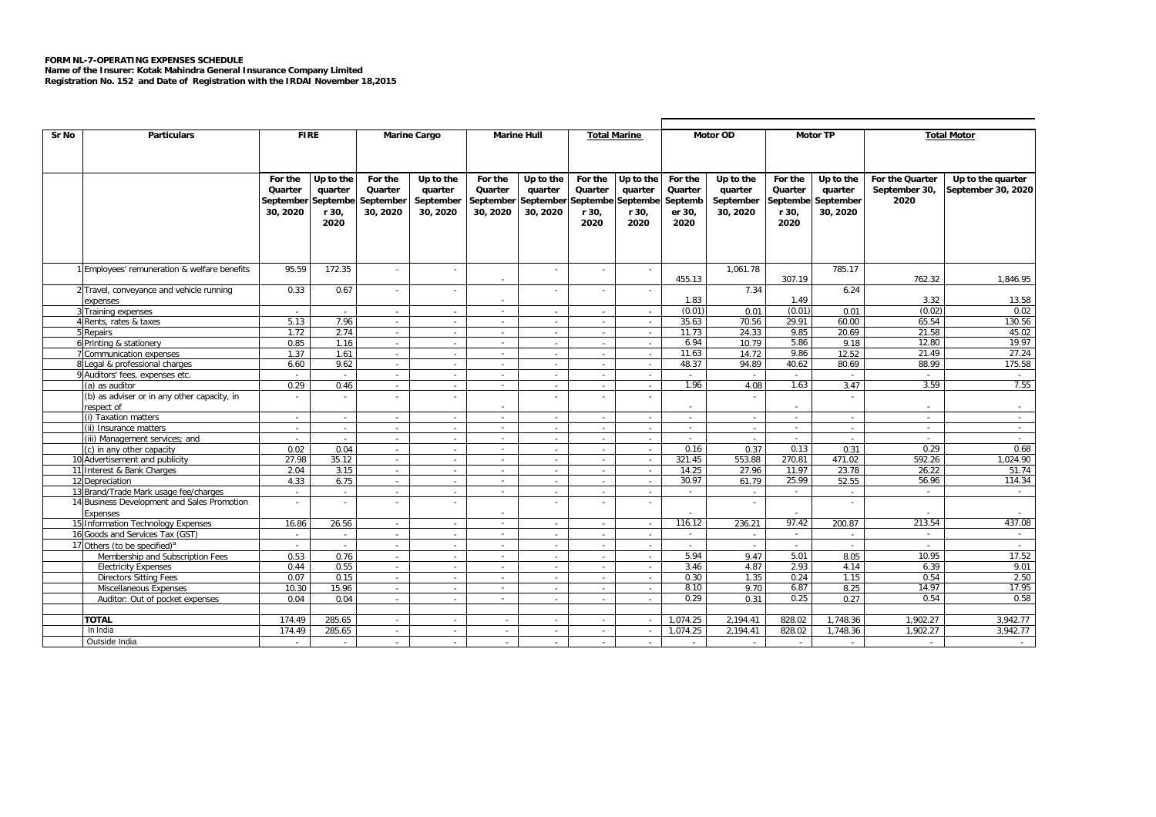## **FORM NL-7-OPERATING EXPENSES SCHEDULE**

**Name of the Insurer: Kotak Mahindra General Insurance Company Limited Registration No. 152 and Date of Registration with the IRDAI November 18,2015**

| Sr No | <b>Particulars</b>                          | <b>FIRE</b> |           |                | <b>Marine Cargo</b> |          | <b>Marine Hull</b><br><b>Total Marine</b> |          |                          |          | <b>Motor OD</b> |          | <b>Motor TP</b> | <b>Total Motor</b> |                    |  |  |  |
|-------|---------------------------------------------|-------------|-----------|----------------|---------------------|----------|-------------------------------------------|----------|--------------------------|----------|-----------------|----------|-----------------|--------------------|--------------------|--|--|--|
|       |                                             |             |           |                |                     |          |                                           |          |                          |          |                 |          |                 |                    |                    |  |  |  |
|       |                                             |             |           |                |                     |          |                                           |          |                          |          |                 |          |                 |                    |                    |  |  |  |
|       |                                             | For the     | Up to the | For the        | Up to the           | For the  | Up to the                                 | For the  | Up to the                | For the  | Up to the       | For the  | Up to the       | For the Quarter    | Up to the quarter  |  |  |  |
|       |                                             | Quarter     | quarter   | Quarter        | quarter             | Quarter  | quarter                                   | Quarter  | quarter                  | Quarter  | quarter         | Quarter  | quarter         | September 30,      | September 30, 2020 |  |  |  |
|       |                                             | September   | Septembe  | September      | September           |          | September September                       | Septembe | Septembe                 | Septemb  | September       | Septembe | September       | 2020               |                    |  |  |  |
|       |                                             | 30, 2020    | r 30,     | 30, 2020       | 30, 2020            | 30, 2020 | 30, 2020                                  | r 30,    | r 30,                    | er 30,   | 30, 2020        | r 30,    | 30, 2020        |                    |                    |  |  |  |
|       |                                             |             | 2020      |                |                     |          |                                           | 2020     | 2020                     | 2020     |                 | 2020     |                 |                    |                    |  |  |  |
|       |                                             |             |           |                |                     |          |                                           |          |                          |          |                 |          |                 |                    |                    |  |  |  |
|       |                                             |             |           |                |                     |          |                                           |          |                          |          |                 |          |                 |                    |                    |  |  |  |
|       |                                             |             |           |                |                     |          |                                           |          |                          |          |                 |          |                 |                    |                    |  |  |  |
|       | Employees' remuneration & welfare benefits  | 95.59       | 172.35    |                |                     |          | $\sim$                                    | $\sim$   |                          |          | 1,061.78        |          | 785.17          |                    |                    |  |  |  |
|       |                                             |             |           |                |                     | ٠        |                                           |          |                          | 455.13   |                 | 307.19   |                 | 762.32             | 1,846.95           |  |  |  |
|       | 2 Travel, conveyance and vehicle running    | 0.33        | 0.67      |                |                     |          |                                           | $\sim$   |                          |          | 7.34            |          | 6.24            |                    |                    |  |  |  |
|       | expenses                                    |             |           |                |                     |          |                                           |          |                          | 1.83     |                 | 1.49     |                 | 3.32               | 13.58              |  |  |  |
|       | Training expenses                           | $\sim$      | $\sim$    | $\sim$         | $\sim$              | $\sim$   | $\sim$                                    | $\sim$   | $\sim$                   | (0.01)   | 0.01            | (0.01)   | 0.01            | (0.02)             | 0.02               |  |  |  |
|       | 4 Rents, rates & taxes                      | 5.13        | 7.96      | $\sim$         | $\sim$              | $\sim$   | $\overline{a}$                            | $\sim$   | $\sim$                   | 35.63    | 70.56           | 29.91    | 60.00           | 65.54              | 130.56             |  |  |  |
|       | Repairs                                     | 1.72        | 2.74      | $\sim$         | $\sim$              | $\sim$   | $\sim$                                    | $\sim$   | $\sim$                   | 11.73    | 24.33           | 9.85     | 20.69           | 21.58              | 45.02              |  |  |  |
|       | 6 Printing & stationery                     | 0.85        | 1.16      | $\sim$         | $\sim$              | $\sim$   | $\sim$                                    | $\sim$   | $\sim$                   | 6.94     | 10.79           | 5.86     | 9.18            | 12.80              | 19.97              |  |  |  |
|       | <b>Communication expenses</b>               | 1.37        | 1.61      | a.             | $\sim$              | $\sim$   | ÷                                         | a.       | ÷                        | 11.63    | 14.72           | 9.86     | 12.52           | 21.49              | 27.24              |  |  |  |
|       | 8 Legal & professional charges              | 6.60        | 9.62      | $\sim$         | $\sim$              | $\sim$   | $\sim$                                    | $\sim$   | $\sim$                   | 48.37    | 94.89           | 40.62    | 80.69           | 88.99              | 175.58             |  |  |  |
|       | 9 Auditors' fees, expenses etc.             | $\sim$      | $\sim$    | $\sim$         | $\sim$              | $\sim$   | $\sim$                                    | $\sim$   | $\sim$                   | $\sim$   | $\sim$          | $\sim$   |                 | $\sim$             | $\sim$             |  |  |  |
|       | (a) as auditor                              | 0.29        | 0.46      | $\sim$         | $\sim$              | $\sim$   | $\overline{a}$                            | $\sim$   | $\sim$                   | 1.96     | 4.08            | 1.63     | 3.47            | 3.59               | 7.55               |  |  |  |
|       | (b) as adviser or in any other capacity, in | $\sim$      |           | $\sim$         |                     |          |                                           | $\sim$   |                          |          |                 |          |                 |                    |                    |  |  |  |
|       | respect of                                  |             |           |                |                     |          |                                           |          |                          |          |                 | $\sim$   |                 |                    | $\sim$             |  |  |  |
|       | (i) Taxation matters                        | $\sim$      | $\sim$    | $\sim$         | $\overline{a}$      | ×        | $\sim$                                    | $\sim$   | $\sim$                   | $\sim$   | $\sim$          | ÷.       | $\sim$          | ×.                 | $\sim$             |  |  |  |
|       | (ii) Insurance matters                      | $\sim$      | $\sim$    | $\sim$         | $\sim$              | $\sim$   | $\overline{a}$                            | $\sim$   | $\sim$                   | $\sim$   | $\sim$          | $\sim$   | $\sim$          | $\sim$             | $\sim$             |  |  |  |
|       | (iii) Management services; and              | $\sim$      | $\sim$    | $\sim$         | $\sim$              | $\sim$   | $\sim$                                    | $\sim$   | $\sim$                   | $\sim$   | $\sim$          | $\sim$   | $\sim$          | $\sim$             | $\sim$             |  |  |  |
|       | (c) in any other capacity                   | 0.02        | 0.04      | $\sim$         | $\sim$              | $\sim$   | $\sim$                                    | $\sim$   | $\sim$                   | 0.16     | 0.37            | 0.13     | 0.31            | 0.29               | 0.68               |  |  |  |
|       | 10 Advertisement and publicity              | 27.98       | 35.12     | $\sim$         | $\sim$              | $\sim$   | $\sim$                                    | $\sim$   | $\overline{a}$           | 321.45   | 553.88          | 270.81   | 471.02          | 592.26             | 1,024.90           |  |  |  |
|       | 11 Interest & Bank Charges                  | 2.04        | 3.15      | $\sim$         | $\sim$              | $\sim$   | ×.                                        | $\sim$   | $\sim$                   | 14.25    | 27.96           | 11.97    | 23.78           | 26.22              | 51.74              |  |  |  |
|       | 12 Depreciation                             | 4.33        | 6.75      | $\sim$         | $\sim$              | ×.       | $\sim$                                    | $\sim$   | $\sim$                   | 30.97    | 61.79           | 25.99    | 52.55           | 56.96              | 114.34             |  |  |  |
|       | 13 Brand/Trade Mark usage fee/charges       | $\sim$      | $\sim$    | $\sim$         | $\sim$              | $\sim$   | $\overline{a}$                            | $\sim$   | $\sim$                   | $\sim$   | $\sim$          | $\sim$   | $\sim$          | $\sim$             | $\sim$             |  |  |  |
|       | 14 Business Development and Sales Promotion | $\sim$      |           |                |                     |          |                                           | $\sim$   | $\sim$                   |          |                 |          | ٠               |                    |                    |  |  |  |
|       | Expenses                                    |             |           |                |                     |          |                                           |          |                          |          |                 |          |                 |                    |                    |  |  |  |
|       | 15 Information Technology Expenses          | 16.86       | 26.56     | $\sim$         | $\sim$              | ×.       | $\sim$                                    | $\sim$   | $\sim$                   | 116.12   | 236.21          | 97.42    | 200.87          | 213.54             | 437.08             |  |  |  |
|       | 16 Goods and Services Tax (GST)             | $\sim$      | $\sim$    | $\sim$         | $\sim$              | $\sim$   | $\overline{a}$                            | $\sim$   | $\sim$                   | $\sim$   | $\sim$          | $\sim$   | $\sim$          | $\sim$             | $\sim$ $-$         |  |  |  |
|       | 17 Others (to be specified) <sup>a</sup>    | $\sim$      | $\sim$    | $\sim$         | $\sim$              |          | $\sim$                                    | $\sim$   | $\sim$                   |          | $\sim$          |          | $\sim$          | $\overline{a}$     | $\sim$             |  |  |  |
|       | Membership and Subscription Fees            | 0.53        | 0.76      |                |                     |          |                                           | $\sim$   | $\overline{\phantom{a}}$ | 5.94     | 9.47            | 5.01     | 8.05            | 10.95              | 17.52              |  |  |  |
|       | <b>Electricity Expenses</b>                 | 0.44        | 0.55      | $\sim$         |                     | $\sim$   |                                           | $\sim$   | ×.                       | 3.46     | 4.87            | 2.93     | 4.14            | 6.39               | 9.01               |  |  |  |
|       | <b>Directors Sitting Fees</b>               | 0.07        | 0.15      | $\overline{a}$ |                     | $\sim$   |                                           | $\sim$   | $\sim$                   | 0.30     | 1.35            | 0.24     | 1.15            | 0.54               | 2.50               |  |  |  |
|       | Miscellaneous Expenses                      | 10.30       | 15.96     | $\sim$         | $\sim$              |          | $\sim$                                    | $\sim$   | $\sim$                   | 8.10     | 9.70            | 6.87     | 8.25            | 14.97              | 17.95              |  |  |  |
|       | Auditor: Out of pocket expenses             | 0.04        | 0.04      | $\sim$         |                     |          |                                           | $\sim$   |                          | 0.29     | 0.31            | 0.25     | 0.27            | 0.54               | 0.58               |  |  |  |
|       |                                             |             |           |                |                     |          |                                           |          |                          |          |                 |          |                 |                    |                    |  |  |  |
|       | <b>TOTAL</b>                                | 174.49      | 285.65    | $\sim$         |                     | $\sim$   |                                           | $\sim$   |                          | 1.074.25 | 2.194.41        | 828.02   | 1.748.36        | 1.902.27           | 3.942.77           |  |  |  |
|       | In India                                    | 174.49      | 285.65    | $\sim$         | $\sim$              | $\sim$   | $\sim$                                    | $\sim$   |                          | 1.074.25 | 2.194.41        | 828.02   | 1.748.36        | 1.902.27           | 3.942.77           |  |  |  |
|       | Outside India                               | $\sim$      |           | $\sim$         | $\sim$              | $\sim$   | $\sim$                                    | $\sim$   | a.                       | $\sim$   | $\sim$          | $\sim$   | $\sim$          | $\sim$             | $\sim$             |  |  |  |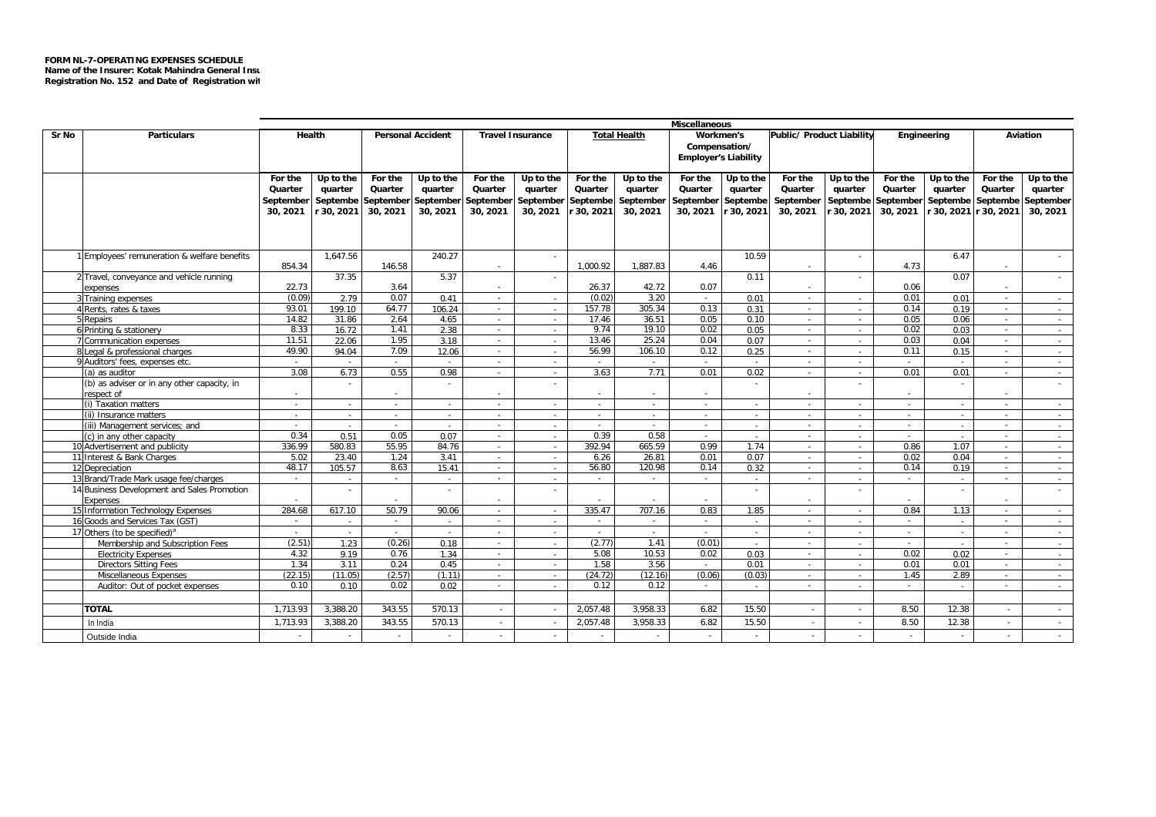|       |                                                              | Miscellaneous  |                |                |                          |                  |                         |                |                     |                             |                |                           |            |                    |                       |          |                  |
|-------|--------------------------------------------------------------|----------------|----------------|----------------|--------------------------|------------------|-------------------------|----------------|---------------------|-----------------------------|----------------|---------------------------|------------|--------------------|-----------------------|----------|------------------|
| Sr No | <b>Particulars</b>                                           | Health         |                |                | <b>Personal Accident</b> |                  | <b>Travel Insurance</b> |                | <b>Total Health</b> | Workmen's                   |                | Public/ Product Liability |            | Engineering        |                       | Aviation |                  |
|       |                                                              |                |                |                |                          |                  |                         |                |                     |                             | Compensation/  |                           |            |                    |                       |          |                  |
|       |                                                              |                |                |                |                          |                  |                         |                |                     | <b>Employer's Liability</b> |                |                           |            |                    |                       |          |                  |
|       |                                                              |                |                |                |                          |                  |                         |                |                     |                             |                |                           |            |                    |                       |          |                  |
|       |                                                              | For the        | Up to the      | For the        | Up to the                | For the          | Up to the               | For the        | Up to the           | For the                     | Up to the      | For the                   | Up to the  | For the            | Up to the             | For the  | Up to the        |
|       |                                                              | Quarter        | quarter        | Quarter        | quarter                  | Quarter          | quarter                 | Quarter        | quarter             | Quarter                     | quarter        | Quarter                   | quarter    | Quarter            | quarter               | Quarter  | quarter          |
|       |                                                              | September      | Septembe       |                | September September      | September        | September               | Septembe       | September           | September                   | Septembe       | September                 | Septembe   | September Septembe |                       | Septembe | September        |
|       |                                                              | 30, 2021       | r 30, 2021     | 30, 2021       | 30, 2021                 | 30, 2021         | 30, 2021                | 30, 2021       | 30, 2021            | 30, 2021                    | r 30, 2021     | 30, 2021                  | r 30, 2021 | 30, 2021           | r 30, 2021 r 30, 2021 |          | 30, 2021         |
|       |                                                              |                |                |                |                          |                  |                         |                |                     |                             |                |                           |            |                    |                       |          |                  |
|       |                                                              |                |                |                |                          |                  |                         |                |                     |                             |                |                           |            |                    |                       |          |                  |
|       |                                                              |                |                |                |                          |                  |                         |                |                     |                             |                |                           |            |                    |                       |          |                  |
|       | 1 Employees' remuneration & welfare benefits                 |                | 1.647.56       |                | 240.27                   |                  | $\sim$                  |                |                     |                             | 10.59          |                           | $\sim$     |                    | 6.47                  |          | $\sim$           |
|       |                                                              | 854.34         |                | 146.58         |                          |                  |                         | 1.000.92       | 1.887.83            | 4.46                        |                | $\overline{a}$            |            | 4.73               |                       |          |                  |
|       | 2 Travel, conveyance and vehicle running                     |                | 37.35          |                | 5.37                     |                  | $\sim$                  |                |                     |                             | 0.11           |                           | $\sim$     |                    | 0.07                  |          | $\sim$           |
|       | expenses                                                     | 22.73          |                | 3.64           |                          |                  |                         | 26.37          | 42.72               | 0.07                        |                |                           |            | 0.06               |                       |          |                  |
|       | 3 Training expenses                                          | (0.09)         | 2.79           | 0.07           | 0.41                     | $\sim$           | $\sim$                  | (0.02)         | 3.20                | $\sim$                      | 0.01           | $\sim$                    | $\sim$     | 0.01               | 0.01                  | $\sim$   | $\sim 10^{-1}$   |
|       | 4 Rents, rates & taxes                                       | 93.01          | 199.10         | 64.77          | 106.24                   | $\sim$           | $\sim$                  | 157.78         | 305.34              | 0.13                        | 0.31           | $\sim$                    | $\sim$     | 0.14               | 0.19                  | $\sim$   | $\sim$           |
|       | Repairs                                                      | 14.82          | 31.86          | 2.64           | 4.65                     | $\sim$           | $\sim$                  | 17.46          | 36.51               | 0.05                        | 0.10           | $\sim$                    | $\sim$     | 0.05               | 0.06                  | $\sim$   | $\sim$           |
|       | 6 Printing & stationery                                      | 8.33           | 16.72          | 1.41           | 2.38                     | $\sim$           |                         | 9.74<br>13.46  | 19.10<br>25.24      | 0.02<br>0.04                | 0.05           | $\sim$                    |            | 0.02               | 0.03                  | $\sim$   | $\sim$           |
|       | 7 Communication expenses                                     | 11.51<br>49.90 | 22.06          | 1.95           | 3.18                     | $\sim$           | $\sim$                  | 56.99          |                     |                             | 0.07           | $\sim$                    | $\sim$     | 0.03               | 0.04                  | $\sim$   | $\sim$           |
|       | 8 Legal & professional charges                               |                | 94.04          | 7.09           | 12.06                    | $\sim$           | $\sim$                  |                | 106.10              | 0.12                        | 0.25           | $\sim$                    | $\sim$     | 0.11               | 0.15                  | $\sim$   | $\sim$           |
|       | 9 Auditors' fees, expenses etc.                              | $\sim$<br>3.08 | $\sim$<br>6.73 | $\sim$<br>0.55 | $\sim$<br>0.98           | $\sim$<br>$\sim$ | $\sim$                  | $\sim$<br>3.63 | $\sim$<br>7.71      | $\sim$<br>0.01              | $\sim$<br>0.02 | $\sim$                    | $\sim$     | $\sim$<br>0.01     | $\sim$<br>0.01        | $\sim$   | $\sim$           |
|       | a) as auditor<br>(b) as adviser or in any other capacity, in |                |                |                |                          |                  | $\sim$                  |                |                     |                             |                | $\sim$                    | $\sim$     |                    |                       |          | $\sim$<br>$\sim$ |
|       | respect of                                                   | $\sim$         | $\sim$         |                | $\sim$                   | $\sim$           |                         | $\sim$         | $\sim$              | $\sim$                      |                |                           |            |                    |                       |          |                  |
|       | (i) Taxation matters                                         | $\sim$         | $\sim$         | $\sim$         | $\sim$                   | $\sim$           | $\sim$                  | $\sim$         | $\sim$              | $\sim$                      | $\sim$         | $\sim$                    | $\sim$     | $\sim$             | $\sim$                | $\sim$   | $\sim$           |
|       | (ii) Insurance matters                                       | $\sim$         | $\sim$         | $\sim$         | $\sim$                   | $\sim$           | $\sim$                  | $\sim$         | $\sim$              | $\sim$                      | $\sim$         | $\sim$                    | $\sim$     | $\sim$             | $\sim$                | $\sim$   | $\sim$           |
|       | (iii) Management services; and                               | $\sim$         | $\sim$         | $\sim$         | $\sim$                   | $\sim$           | $\sim$                  | $\sim$         | $\sim$              | $\sim$                      | $\sim$         | $\sim$                    | $\sim$     | $\sim$             | $\sim$                | $\sim$   | $\sim$           |
|       | (c) in any other capacity                                    | 0.34           | 0.51           | 0.05           | 0.07                     | $\sim$           | $\sim$                  | 0.39           | 0.58                | $\sim$                      | $\sim$         | $\sim$                    | $\sim$     | $\sim$             | $\sim$                | $\sim$   | $\sim$           |
|       | 10 Advertisement and publicity                               | 336.99         | 580.83         | 55.95          | 84.76                    | $\sim$           | $\sim$                  | 392.94         | 665.59              | 0.99                        | 1.74           | $\sim$                    | $\sim$     | 0.86               | 1.07                  | $\sim$   | $\sim$           |
|       | 11 Interest & Bank Charges                                   | 5.02           | 23.40          | 1.24           | 3.41                     | $\sim$           | $\sim$                  | 6.26           | 26.81               | 0.01                        | 0.07           | $\sim$                    | $\sim$     | 0.02               | 0.04                  | $\sim$   | $\sim$ $-$       |
|       | 12 Depreciation                                              | 48.17          | 105.57         | 8.63           | 15.41                    | $\sim$           | $\sim$                  | 56.80          | 120.98              | 0.14                        | 0.32           | $\sim$                    | $\sim$     | 0.14               | 0.19                  | $\sim$   | $\sim$           |
|       | 13 Brand/Trade Mark usage fee/charges                        | $\sim$         | $\sim$         | $\sim$         | $\sim$                   | $\sim$           | $\sim$                  | $\sim$         | $\sim$              | $\sim$                      | $\sim$         | $\sim$                    | $\sim$     | $\sim$             | $\sim$                | $\sim$   | $\sim$           |
|       | 14 Business Development and Sales Promotion                  |                | $\sim$         |                | $\sim$                   |                  | $\sim$                  |                |                     |                             |                |                           | $\sim$     |                    |                       |          | $\sim$           |
|       | Expenses                                                     |                |                |                |                          |                  |                         |                |                     |                             |                | $\overline{a}$            |            |                    |                       |          |                  |
| 15    | <b>Information Technology Expenses</b>                       | 284.68         | 617.10         | 50.79          | 90.06                    | $\sim$           | $\sim$                  | 335.47         | 707.16              | 0.83                        | 1.85           | $\sim$                    | $\sim$     | 0.84               | 1.13                  | $\sim$   | $\sim$           |
|       | 16 Goods and Services Tax (GST)                              | $\sim$         |                | $\sim$         | $\sim$                   | $\sim$           | a.                      | $\sim$         | $\sim$              | $\sim$                      | in 1919.       | $\sim$                    | $\sim$     | $\sim$             |                       | $\sim$   | $\sim$           |
|       | 17 Others (to be specified) <sup>a</sup>                     |                | $\sim$         |                | $\sim$                   |                  | $\sim$                  |                | $\sim$              |                             | $\sim$         |                           | $\sim$     |                    | $\overline{a}$        |          | $\sim$           |
|       | Membership and Subscription Fees                             | (2.51)         | 1.23           | (0.26)         | 0.18                     | ×.               | $\sim$                  | (2.77)         | 1.41                | (0.01)                      | $\sim$         |                           | $\sim$     |                    |                       |          | $\sim$           |
|       | <b>Electricity Expenses</b>                                  | 4.32           | 9.19           | 0.76           | 1.34                     | $\sim$           | $\sim$                  | 5.08           | 10.53               | 0.02                        | 0.03           | $\sim$                    | $\sim$     | 0.02               | 0.02                  |          | $\sim$           |
|       | <b>Directors Sitting Fees</b>                                | 1.34           | 3.11           | 0.24           | 0.45                     | $\sim$           | $\sim$                  | 1.58           | 3.56                | $\sim$                      | 0.01           |                           | $\sim$     | 0.01               | 0.01                  | $\sim$   | $\sim$           |
|       | Miscellaneous Expenses                                       | (22.15)        | (11.05)        | (2.57)         | (1.11)                   | $\sim$           | $\sim$                  | (24.72)        | (12.16)             | (0.06)                      | (0.03)         | $\overline{a}$            | $\sim$     | 1.45               | 2.89                  |          | $\sim$           |
|       | Auditor: Out of pocket expenses                              | 0.10           | 0.10           | 0.02           | 0.02                     | $\sim$           | $\sim$                  | 0.12           | 0.12                | $\sim$                      | $\sim$         | $\sim$                    | $\sim$     | $\sim$             | $\sim$                | $\sim$   | $\sim$           |
|       |                                                              |                |                |                |                          |                  |                         |                |                     |                             |                |                           |            |                    |                       |          |                  |
|       | TOTAL                                                        | 1.713.93       | 3.388.20       | 343.55         | 570.13                   | $\sim$           |                         | 2.057.48       | 3.958.33            | 6.82                        | 15.50          |                           | $\sim$     | 8.50               | 12.38                 |          | $\sim$           |
|       | In India                                                     | 1,713.93       | 3,388.20       | 343.55         | 570.13                   | $\sim$           |                         | 2,057.48       | 3.958.33            | 6.82                        | 15.50          |                           | $\sim$     | 8.50               | 12.38                 | $\sim$   | $\sim$           |
|       |                                                              | $\sim$         | $\sim$         | $\sim$         |                          | $\sim$           | $\sim$                  | $\sim$         | $\sim$              | $\sim$                      |                | $\sim$                    | $\sim$     | $\sim$             | $\sim$                | $\sim$   |                  |
|       | Outside India                                                |                |                |                |                          |                  |                         |                |                     |                             |                |                           |            |                    |                       |          |                  |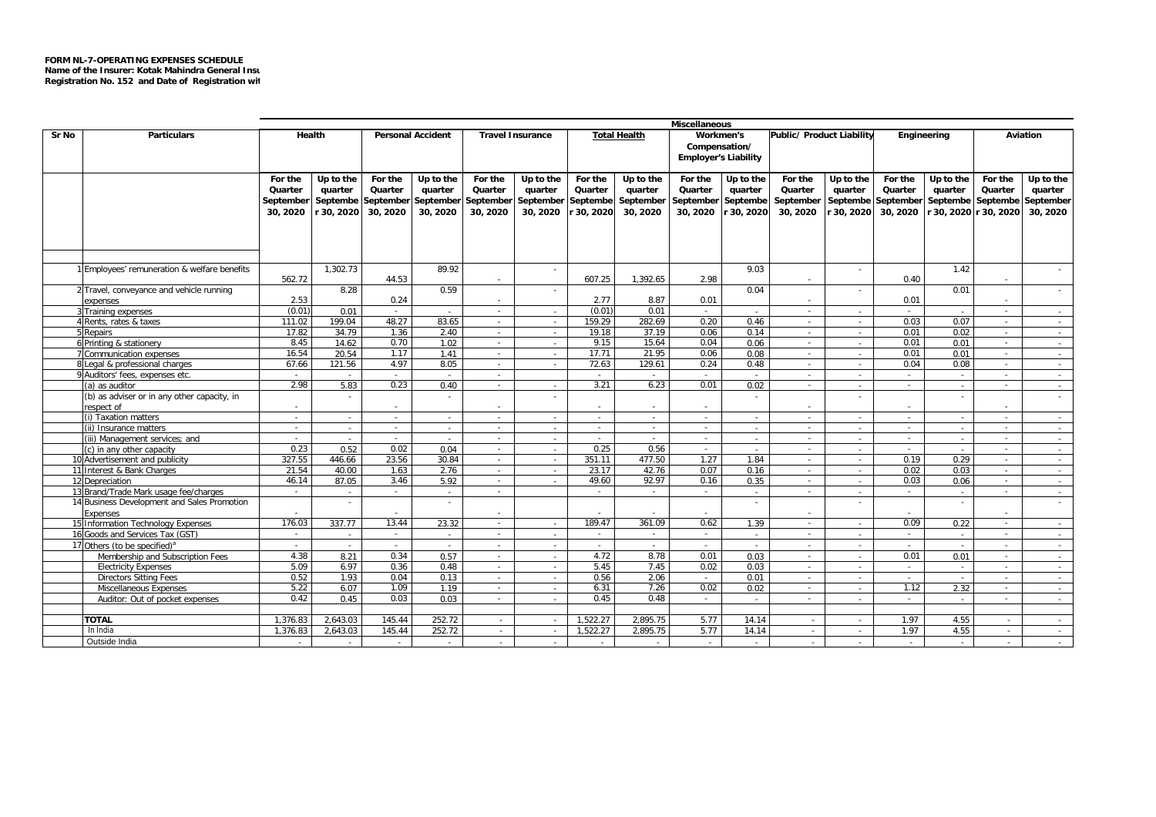|       |                                               | <b>Miscellaneous</b> |            |           |                          |                  |                         |          |                     |                             |               |                           |                  |             |                |                       |                  |
|-------|-----------------------------------------------|----------------------|------------|-----------|--------------------------|------------------|-------------------------|----------|---------------------|-----------------------------|---------------|---------------------------|------------------|-------------|----------------|-----------------------|------------------|
| Sr No | <b>Particulars</b>                            |                      | Health     |           | <b>Personal Accident</b> |                  | <b>Travel Insurance</b> |          | <b>Total Health</b> | Workmen's                   |               | Public/ Product Liability |                  | Engineering |                | <b>Aviation</b>       |                  |
|       |                                               |                      |            |           |                          |                  |                         |          |                     |                             | Compensation/ |                           |                  |             |                |                       |                  |
|       |                                               |                      |            |           |                          |                  |                         |          |                     | <b>Employer's Liability</b> |               |                           |                  |             |                |                       |                  |
|       |                                               |                      |            |           |                          |                  |                         |          |                     |                             |               |                           |                  |             |                |                       |                  |
|       |                                               | For the              | Up to the  | For the   | Up to the                | For the          | Up to the               | For the  | Up to the           | For the                     | Up to the     | For the                   | Up to the        | For the     | Up to the      | For the               | Up to the        |
|       |                                               | Quarter              | quarter    | Quarter   | quarter                  | Quarter          | quarter                 | Quarter  | quarter             | Quarter                     | quarter       | Quarter                   | quarter          | Quarter     | quarter        | Quarter               | quarter          |
|       |                                               | September            | Septembe   | September | September                | September        | September               | Septembe | September           | September                   | Septembe      | September                 | Septembe         | September   | Septembe       | Septembe              | September        |
|       |                                               | 30, 2020             | r 30, 2020 | 30, 2020  | 30, 2020                 | 30, 2020         | 30, 2020                | 30, 2020 | 30, 2020            | 30, 2020                    | r 30, 2020    | 30, 2020                  | r 30, 2020       | 30, 2020    |                | r 30, 2020 r 30, 2020 | 30, 2020         |
|       |                                               |                      |            |           |                          |                  |                         |          |                     |                             |               |                           |                  |             |                |                       |                  |
|       |                                               |                      |            |           |                          |                  |                         |          |                     |                             |               |                           |                  |             |                |                       |                  |
|       |                                               |                      |            |           |                          |                  |                         |          |                     |                             |               |                           |                  |             |                |                       |                  |
|       |                                               |                      |            |           |                          |                  |                         |          |                     |                             |               |                           |                  |             |                |                       |                  |
|       | 1 Employees' remuneration & welfare benefits  |                      | 1.302.73   |           | 89.92                    |                  |                         |          |                     |                             | 9.03          |                           |                  |             | 1.42           |                       |                  |
|       |                                               | 562.72               |            | 44.53     |                          | $\sim$           |                         | 607.25   | 1.392.65            | 2.98                        |               | $\sim$                    |                  | 0.40        |                |                       |                  |
|       | 2 Travel, conveyance and vehicle running      |                      | 8.28       |           | 0.59                     |                  |                         |          |                     |                             | 0.04          |                           |                  |             | 0.01           |                       |                  |
|       | expenses                                      | 2.53                 |            | 0.24      |                          | $\sim$           |                         | 2.77     | 8.87                | 0.01                        |               | $\sim$                    |                  | 0.01        |                |                       |                  |
|       | Training expenses                             | (0.01)               | 0.01       | $\sim$    |                          | $\sim$           |                         | (0.01)   | 0.01                | $\sim$                      |               | $\sim$                    |                  | $\sim$      | $\sim$         | $\sim$                | $\sim$           |
|       | Rents, rates & taxes                          | 111.02               | 199.04     | 48.27     | 83.65                    | $\sim$           | $\sim$                  | 159.29   | 282.69              | 0.20                        | 0.46          | $\sim$                    | $\sim$           | 0.03        | 0.07           | $\sim$                | $\sim$           |
|       | 5 Repairs                                     | 17.82                | 34.79      | 1.36      | 2.40                     | $\sim$           | $\sim$                  | 19.18    | 37.19               | 0.06                        | 0.14          | $\sim$                    | $\sim$           | 0.01        | 0.02           | $\sim$                | $\sim$           |
|       | 6 Printing & stationery                       | 8.45                 | 14.62      | 0.70      | 1.02                     | $\sim$           | $\sim$                  | 9.15     | 15.64               | 0.04                        | 0.06          | $\sim$                    | $\sim$           | 0.01        | 0.01           | $\sim$                | $\sim$           |
|       | 7 Communication expenses                      | 16.54                | 20.54      | 1.17      | 1.41                     | $\sim$           | $\sim$                  | 17.71    | 21.95               | 0.06                        | 0.08          | $\sim$                    | $\sim$           | 0.01        | 0.01           | $\sim$                | $\sim$           |
|       | 8 Legal & professional charges                | 67.66                | 121.56     | 4.97      | 8.05                     | $\sim$           | $\sim$                  | 72.63    | 129.61              | 0.24                        | 0.48          | $\sim$                    | $\sim$           | 0.04        | 0.08           | $\sim$                | $\sim$           |
|       | 9 Auditors' fees, expenses etc.               | $\sim$               | $\sim$     | $\sim$    | $\sim$                   | $\sim$           |                         | $\sim$   | $\sim$              | $\sim$                      | $\sim$        | $\sim$                    | $\sim$           | $\sim$      | $\sim$         | $\sim$                | $\sim$           |
|       | (a) as auditor                                | 2.98                 | 5.83       | 0.23      | 0.40                     | $\sim$           | $\sim$                  | 3.21     | 6.23                | 0.01                        | 0.02          | $\sim$                    | $\sim$           | $\sim$      | $\sim$         | $\sim$                | $\sim$           |
|       | (b) as adviser or in any other capacity, in   |                      | $\sim$     |           |                          |                  |                         |          |                     |                             |               |                           |                  |             | $\overline{a}$ |                       |                  |
|       | respect of                                    | $\sim$               |            |           |                          | $\sim$           |                         | $\sim$   | $\sim$              |                             |               | $\sim$                    |                  | $\sim$      |                |                       |                  |
|       | (i) Taxation matters                          | $\sim$               | $\sim$     | $\sim$    | $\sim$                   | $\sim$           | $\sim$                  | $\sim$   | $\sim$              | $\sim$                      | $\sim$        | $\sim$                    | $\sim$           | $\sim$      | $\sim$         | $\sim$                | $\sim$           |
|       | (ii) Insurance matters                        | $\sim$               | $\sim$     | $\sim$    | $\sim$                   | $\sim$           | $\sim$                  | $\sim$   | $\sim$              | $\sim$                      | $\sim$        | $\sim$                    | $\sim$           | $\sim$      | $\sim$         | $\sim$                | $\sim$           |
|       | (iii) Management services; and                | ×.                   | $\sim$     | $\sim$    | $\sim$                   | $\sim$           | $\sim$                  | $\sim$   | $\sim$              | $\sim$                      | ×.            | $\sim$                    | $\sim$           | $\sim$      | $\sim$         | $\sim$                | $\sim$           |
|       | (c) in any other capacity                     | 0.23                 | 0.52       | 0.02      | 0.04                     | $\sim$           | $\sim$                  | 0.25     | 0.56                | $\sim$                      | $\sim$        | $\sim$                    | $\sim$           | $\sim$      | $\sim$         | $\sim$                | $\sim$           |
|       | 10 Advertisement and publicity                | 327.55               | 446.66     | 23.56     | 30.84                    | $\sim$           | $\sim$                  | 351.11   | 477.50              | 1.27                        | 1.84          | $\sim$                    | $\sim$           | 0.19        | 0.29           | $\sim$                | $\sim$           |
|       | 11 Interest & Bank Charges                    | 21.54                | 40.00      | 1.63      | 2.76                     | $\sim$           | $\sim$                  | 23.17    | 42.76               | 0.07                        | 0.16          | $\sim$                    | $\sim$           | 0.02        | 0.03           | $\sim$                | $\sim$           |
|       | 12 Depreciation                               | 46.14                | 87.05      | 3.46      | 5.92                     | $\sim$           | $\sim$                  | 49.60    | 92.97               | 0.16                        | 0.35          | $\sim$                    | $\sim$           | 0.03        | 0.06           | $\sim$                | $\sim$           |
|       | 13 Brand/Trade Mark usage fee/charges         | $\sim$               | $\sim$     | $\sim$    | $\sim$                   | $\sim$           |                         | $\sim$   | $\sim$              | $\sim$                      | $\sim$        | $\sim$                    | $\sim$           | $\sim$      | $\sim$         | $\sim$                | $\sim$           |
|       | 14 Business Development and Sales Promotion   |                      |            |           |                          |                  |                         |          |                     |                             |               |                           |                  |             | $\sim$         |                       |                  |
|       | xpenses<br>15 Information Technology Expenses | ٠<br>176.03          | 337.77     | 13.44     | 23.32                    | $\sim$           |                         | 189.47   | $\sim$<br>361.09    | 0.62                        | 1.39          | $\sim$<br>$\sim$          |                  | 0.09        | 0.22           |                       |                  |
|       | 16 Goods and Services Tax (GST)               | $\sim$               | $\sim$     | $\sim$    | $\sim$                   | $\sim$<br>$\sim$ | $\sim$<br>$\sim$        | $\sim$   | $\sim$              | $\sim$                      | $\sim$        | $\sim$                    | $\sim$<br>$\sim$ | $\sim$      | $\sim$         | $\sim$<br>$\sim$      | $\sim$<br>$\sim$ |
|       | 17 Others (to be specified) <sup>a</sup>      |                      | $\sim$     |           | $\sim$                   |                  |                         | $\sim$   | $\sim$              | $\sim$                      |               | $\sim$                    | $\sim$           |             | $\sim$         |                       | $\sim$           |
|       | Membership and Subscription Fees              | 4.38                 | 8.21       | 0.34      | 0.57                     | $\sim$           | $\sim$                  | 4.72     | 8.78                | 0.01                        | 0.03          | $\sim$                    | $\sim$           | 0.01        | 0.01           | $\sim$                | $\sim$           |
|       | <b>Electricity Expenses</b>                   | 5.09                 | 6.97       | 0.36      | 0.48                     | $\sim$           | $\sim$                  | 5.45     | 7.45                | 0.02                        | 0.03          | $\sim$                    | $\sim$           | $\sim$      | $\sim$         | $\sim$                | $\sim$           |
|       | <b>Directors Sitting Fees</b>                 | 0.52                 | 1.93       | 0.04      | 0.13                     | $\sim$           |                         | 0.56     | 2.06                | $\sim$                      | 0.01          | $\sim$                    | $\sim$           | $\sim$      | $\sim$         | $\sim$                | $\sim$           |
|       | Miscellaneous Expenses                        | 5.22                 | 6.07       | 1.09      | 1.19                     | $\sim$           | $\sim$<br>$\sim$        | 6.31     | 7.26                | 0.02                        | 0.02          | $\sim$                    | $\sim$           | 1.12        | 2.32           | $\sim$                | $\sim$           |
|       | Auditor: Out of pocket expenses               | 0.42                 | 0.45       | 0.03      | 0.03                     | $\sim$           | $\sim$                  | 0.45     | 0.48                | $\sim$                      | $\sim$        | $\sim$                    | $\sim$           | $\sim$      | $\sim$         | $\sim$                | $\sim$           |
|       |                                               |                      |            |           |                          |                  |                         |          |                     |                             |               |                           |                  |             |                |                       |                  |
|       | <b>TOTAL</b>                                  | 1,376.83             | 2,643.03   | 145.44    | 252.72                   | $\sim$           | $\sim$                  | 1,522.27 | 2,895.75            | 5.77                        | 14.14         |                           | $\sim$           | 1.97        | 4.55           | $\sim$                | $\sim$           |
|       | In India                                      | 1,376.83             | 2,643.03   | 145.44    | 252.72                   | $\sim$           |                         | 1,522.27 | 2,895.75            | 5.77                        | 14.14         | $\sim$                    | $\sim$           | 1.97        | 4.55           | $\sim$                | $\sim$           |
|       | Outside India                                 |                      |            |           |                          | $\sim$           | $\sim$                  |          |                     | $\sim$                      |               |                           |                  |             |                |                       |                  |
|       |                                               |                      |            |           |                          |                  |                         |          |                     |                             |               |                           |                  |             |                |                       |                  |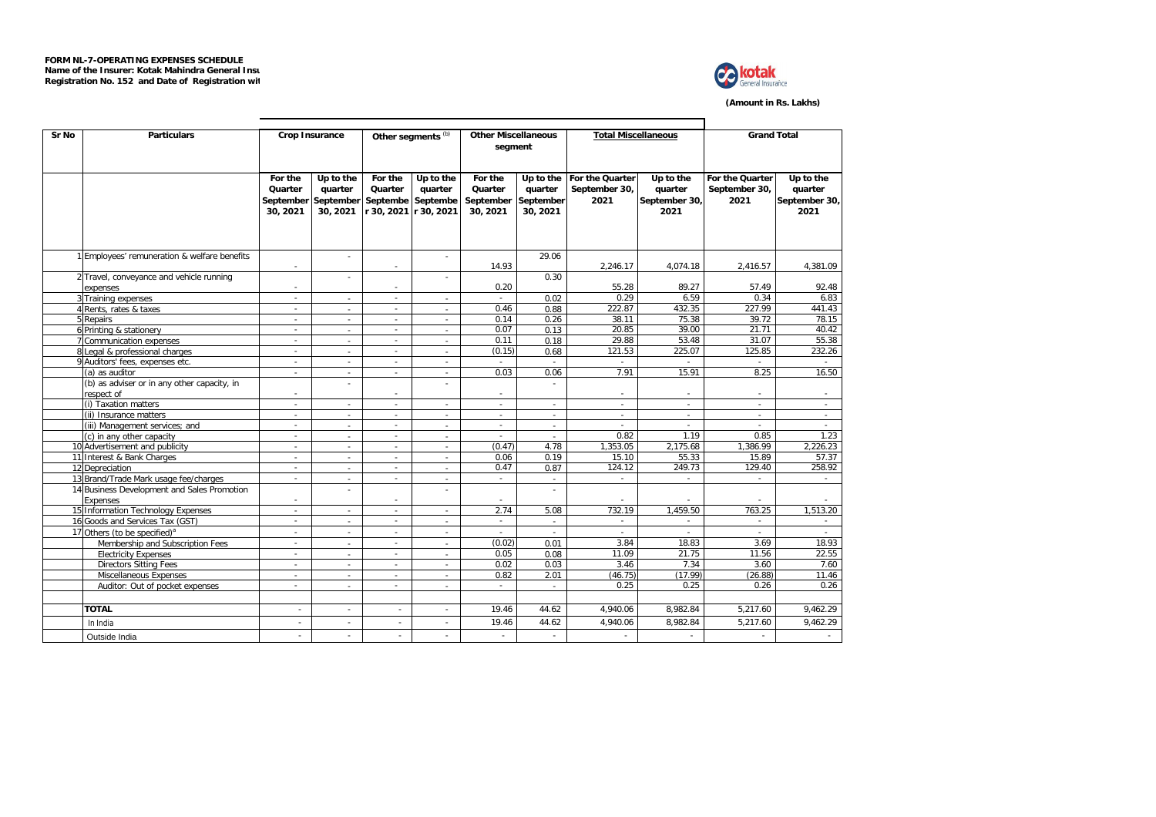

**(Amount in Rs. Lakhs)**

| Sr No | <b>Particulars</b>                           |                          | <b>Crop Insurance</b>    |                          | Other segments <sup>(b)</sup> | <b>Other Miscellaneous</b> |              | <b>Total Miscellaneous</b> |               | <b>Grand Total</b> |               |  |
|-------|----------------------------------------------|--------------------------|--------------------------|--------------------------|-------------------------------|----------------------------|--------------|----------------------------|---------------|--------------------|---------------|--|
|       |                                              |                          |                          |                          |                               | segment                    |              |                            |               |                    |               |  |
|       |                                              |                          |                          |                          |                               |                            |              |                            |               |                    |               |  |
|       |                                              |                          |                          |                          |                               |                            |              |                            |               |                    |               |  |
|       |                                              | For the                  | Up to the                | For the                  | Up to the                     | For the                    | Up to the    | For the Quarter            | Up to the     | For the Quarter    | Up to the     |  |
|       |                                              | Quarter                  | quarter                  | Quarter                  | quarter                       | Quarter                    | quarter      | September 30,              | quarter       | September 30,      | quarter       |  |
|       |                                              | September                | September                | Septembe                 | Septembe                      | September                  | September    | 2021                       | September 30, | 2021               | September 30, |  |
|       |                                              | 30, 2021                 | 30, 2021                 |                          | r 30, 2021 r 30, 2021         | 30, 2021                   | 30, 2021     |                            | 2021          |                    | 2021          |  |
|       |                                              |                          |                          |                          |                               |                            |              |                            |               |                    |               |  |
|       |                                              |                          |                          |                          |                               |                            |              |                            |               |                    |               |  |
|       | 1 Employees' remuneration & welfare benefits |                          | $\sim$                   |                          | ÷.                            |                            | 29.06        |                            |               |                    |               |  |
|       |                                              |                          |                          | ÷                        |                               | 14.93                      |              | 2,246.17                   | 4,074.18      | 2,416.57           | 4,381.09      |  |
|       | 2 Travel, conveyance and vehicle running     |                          |                          |                          |                               |                            | 0.30         |                            |               |                    |               |  |
|       | expenses                                     |                          |                          | $\overline{\phantom{a}}$ |                               | 0.20                       |              | 55.28                      | 89.27         | 57.49              | 92.48         |  |
|       | 3 Training expenses                          | $\sim$                   |                          | ×.                       |                               | ÷.                         | 0.02         | 0.29                       | 6.59          | 0.34               | 6.83          |  |
|       | 4 Rents, rates & taxes                       | ×                        | $\sim$                   | ÷.                       | ä,                            | 0.46                       | 0.88         | 222.87                     | 432.35        | 227.99             | 441.43        |  |
|       | 5 Repairs                                    | ÷                        |                          | $\overline{\phantom{a}}$ |                               | 0.14                       | 0.26         | 38.11                      | 75.38         | 39.72              | 78.15         |  |
|       | 6 Printing & stationery                      | $\sim$                   | $\sim$                   | ×.                       | $\sim$                        | 0.07                       | 0.13         | 20.85                      | 39.00         | 21.71              | 40.42         |  |
|       | 7 Communication expenses                     | $\sim$                   | $\sim$                   | $\overline{\phantom{a}}$ | ÷                             | 0.11                       | 0.18         | 29.88                      | 53.48         | 31.07              | 55.38         |  |
|       | 8 Legal & professional charges               |                          | $\overline{a}$           | $\sim$                   | $\sim$                        | (0.15)                     | 0.68         | 121.53                     | 225.07        | 125.85             | 232.26        |  |
|       | 9 Auditors' fees, expenses etc.              |                          | $\sim$                   | ×.                       | ٠                             |                            |              |                            |               |                    |               |  |
|       | (a) as auditor                               | $\sim$                   | $\sim$                   | $\sim$                   | $\sim$                        | 0.03                       | 0.06         | 7.91                       | 15.91         | 8.25               | 16.50         |  |
|       | (b) as adviser or in any other capacity, in  |                          |                          |                          | ٠                             |                            | ÷            |                            |               |                    |               |  |
|       | respect of                                   |                          |                          | $\sim$                   |                               | $\sim$                     |              | $\sim$                     | $\sim$        |                    | $\sim$        |  |
|       | (i) Taxation matters                         | $\sim$                   | $\sim$                   | $\sim$                   | $\sim$                        | $\sim$                     | $\sim$       | $\sim$                     | ٠             | $\sim$             | $\sim$        |  |
|       | (ii) Insurance matters                       | $\sim$                   | $\sim$                   | $\overline{\phantom{a}}$ | $\sim$                        | $\sim$                     | $\sim$       | $\sim$                     | $\sim$        | $\sim$             | $\sim$        |  |
|       | (iii) Management services; and               | $\sim$                   | $\sim$                   | $\sim$                   | $\mathcal{L}_{\mathcal{A}}$   | ×.                         | $\sim$       | $\sim$                     | $\sim$        | a.                 | $\sim$        |  |
|       | (c) in any other capacity                    | $\sim$                   | $\sim$                   | $\sim$                   | $\sim$                        | $\sim$                     | $\sim$       | 0.82                       | 1.19          | 0.85               | 1.23          |  |
|       | 10 Advertisement and publicity               | $\sim$                   | $\sim$                   | $\sim$                   | $\sim$                        | (0.47)                     | 4.78         | 1,353.05                   | 2,175.68      | 1,386.99           | 2,226.23      |  |
|       | 11 Interest & Bank Charges                   | $\sim$                   | $\sim$                   | $\sim$                   | $\overline{\phantom{a}}$      | 0.06                       | 0.19         | 15.10                      | 55.33         | 15.89              | 57.37         |  |
|       | 12 Depreciation                              | $\sim$                   | $\sim$                   | $\sim$                   | ×.                            | 0.47                       | 0.87         | 124.12                     | 249.73        | 129.40             | 258.92        |  |
|       | 13 Brand/Trade Mark usage fee/charges        | $\sim$                   | $\sim$                   | $\sim$                   | $\sim$                        | $\sim$                     | $\sim$       | $\sim$                     | $\sim$        | $\sim$             | $\sim$        |  |
|       | 14 Business Development and Sales Promotion  |                          | ÷                        |                          | ÷                             |                            | ÷            |                            |               |                    |               |  |
|       | Expenses                                     |                          |                          | $\sim$                   |                               |                            |              |                            |               |                    |               |  |
|       | 15 Information Technology Expenses           | $\overline{\phantom{a}}$ | $\sim$                   | $\overline{\phantom{a}}$ | ×.                            | 2.74                       | 5.08         | 732.19                     | 1.459.50      | 763.25             | 1,513.20      |  |
|       | 16 Goods and Services Tax (GST)              | $\sim$                   | $\sim$                   | $\sim$                   | $\mathbf{r}$                  | $\sim$                     | $\sim$       | $\sim$                     | $\sim$        | $\sim$             | $\sim$        |  |
|       | 17 Others (to be specified) <sup>a</sup>     | $\sim$                   | $\sim$                   | $\sim$                   | ä,                            |                            | $\mathbf{r}$ |                            |               |                    |               |  |
|       | Membership and Subscription Fees             | ×                        |                          | $\overline{\phantom{a}}$ | $\sim$                        | (0.02)                     | 0.01         | 3.84                       | 18.83         | 3.69               | 18.93         |  |
|       | <b>Electricity Expenses</b>                  | ×                        | $\sim$                   | $\overline{\phantom{a}}$ | ÷                             | 0.05                       | 0.08         | 11.09                      | 21.75         | 11.56              | 22.55         |  |
|       | <b>Directors Sitting Fees</b>                | $\sim$                   |                          | $\sim$                   |                               | 0.02                       | 0.03         | 3.46                       | 7.34          | 3.60               | 7.60          |  |
|       | Miscellaneous Expenses                       |                          | $\sim$                   | $\sim$                   | $\sim$                        | 0.82                       | 2.01         | (46.75)                    | (17.99)       | (26.88)            | 11.46         |  |
|       | Auditor: Out of pocket expenses              |                          |                          |                          |                               |                            |              | 0.25                       | 0.25          | 0.26               | 0.26          |  |
|       |                                              |                          |                          |                          |                               |                            |              |                            |               |                    |               |  |
|       | <b>TOTAL</b>                                 | $\sim$                   | $\overline{\phantom{a}}$ |                          | $\overline{\phantom{a}}$      | 19.46                      | 44.62        | 4.940.06                   | 8.982.84      | 5.217.60           | 9.462.29      |  |
|       | In India                                     | ÷.                       | $\sim$                   | ×.                       | ×.                            | 19.46                      | 44.62        | 4,940.06                   | 8,982.84      | 5,217.60           | 9,462.29      |  |
|       | Outside India                                | $\overline{\phantom{a}}$ | $\overline{a}$           |                          | ٠                             | $\sim$                     | $\sim$       | $\sim$                     | $\sim$        | $\sim$             | $\sim$        |  |
|       |                                              |                          |                          |                          |                               |                            |              |                            |               |                    |               |  |